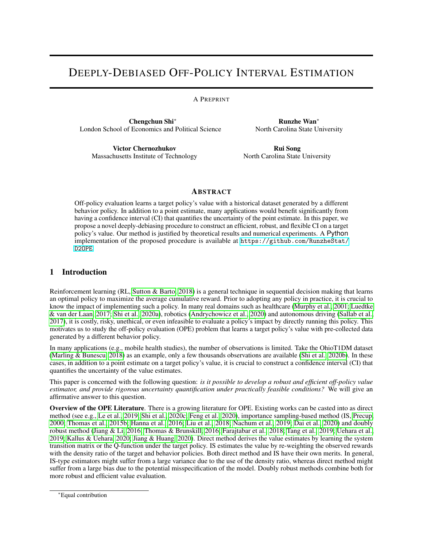# DEEPLY-DEBIASED OFF-POLICY INTERVAL ESTIMATION

## A PREPRINT

Chengchun Shi<sup>∗</sup> London School of Economics and Political Science

Runzhe Wan<sup>∗</sup> North Carolina State University

Victor Chernozhukov Massachusetts Institute of Technology

Rui Song North Carolina State University

# **ABSTRACT**

Off-policy evaluation learns a target policy's value with a historical dataset generated by a different behavior policy. In addition to a point estimate, many applications would benefit significantly from having a confidence interval (CI) that quantifies the uncertainty of the point estimate. In this paper, we propose a novel deeply-debiasing procedure to construct an efficient, robust, and flexible CI on a target policy's value. Our method is justified by theoretical results and numerical experiments. A Python implementation of the proposed procedure is available at  $h$ ttps://github.com/RunzheStat/ [D2OPE](https://github.com/RunzheStat/D2OPE).

# 1 Introduction

Reinforcement learning (RL, [Sutton & Barto, 2018\)](#page-12-0) is a general technique in sequential decision making that learns an optimal policy to maximize the average cumulative reward. Prior to adopting any policy in practice, it is crucial to know the impact of implementing such a policy. In many real domains such as healthcare [\(Murphy et al., 2001;](#page-11-0) [Luedtke](#page-11-1) [& van der Laan, 2017;](#page-11-1) [Shi et al., 2020a\)](#page-12-1), robotics [\(Andrychowicz et al., 2020\)](#page-10-0) and autonomous driving [\(Sallab et al.,](#page-12-2) [2017\)](#page-12-2), it is costly, risky, unethical, or even infeasible to evaluate a policy's impact by directly running this policy. This motivates us to study the off-policy evaluation (OPE) problem that learns a target policy's value with pre-collected data generated by a different behavior policy.

In many applications (e.g., mobile health studies), the number of observations is limited. Take the OhioT1DM dataset [\(Marling & Bunescu, 2018\)](#page-11-2) as an example, only a few thousands observations are available [\(Shi et al., 2020b\)](#page-12-3). In these cases, in addition to a point estimate on a target policy's value, it is crucial to construct a confidence interval (CI) that quantifies the uncertainty of the value estimates.

This paper is concerned with the following question: *is it possible to develop a robust and efficient off-policy value estimator, and provide rigorous uncertainty quantification under practically feasible conditions?* We will give an affirmative answer to this question.

Overview of the OPE Literature. There is a growing literature for OPE. Existing works can be casted into as direct method (see e.g., [Le et al., 2019;](#page-11-3) [Shi et al., 2020c;](#page-12-4) [Feng et al., 2020\)](#page-11-4), importance sampling-based method (IS, [Precup,](#page-12-5) [2000;](#page-12-5) [Thomas et al., 2015b;](#page-12-6) [Hanna et al., 2016;](#page-11-5) [Liu et al., 2018;](#page-11-6) [Nachum et al., 2019;](#page-11-7) [Dai et al., 2020\)](#page-10-1) and doubly robust method [\(Jiang & Li, 2016;](#page-11-8) [Thomas & Brunskill, 2016;](#page-12-7) [Farajtabar et al., 2018;](#page-11-9) [Tang et al., 2019;](#page-12-8) [Uehara et al.,](#page-12-9) [2019;](#page-12-9) [Kallus & Uehara, 2020;](#page-11-10) [Jiang & Huang, 2020\)](#page-11-11). Direct method derives the value estimates by learning the system transition matrix or the Q-function under the target policy. IS estimates the value by re-weighting the observed rewards with the density ratio of the target and behavior policies. Both direct method and IS have their own merits. In general, IS-type estimators might suffer from a large variance due to the use of the density ratio, whereas direct method might suffer from a large bias due to the potential misspecification of the model. Doubly robust methods combine both for more robust and efficient value evaluation.

<sup>∗</sup>Equal contribution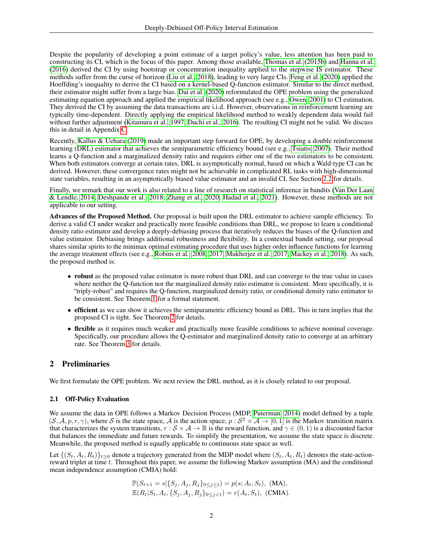Despite the popularity of developing a point estimate of a target policy's value, less attention has been paid to constructing its CI, which is the focus of this paper. Among those available, [Thomas et al.](#page-12-6) [\(2015b\)](#page-12-6) and [Hanna et al.](#page-11-5) [\(2016\)](#page-11-5) derived the CI by using bootstrap or concentration inequality applied to the stepwise IS estimator. These methods suffer from the curse of horizon [\(Liu et al., 2018\)](#page-11-6), leading to very large CIs. [Feng et al.](#page-11-4) [\(2020\)](#page-11-4) applied the Hoeffding's inequality to derive the CI based on a kernel-based Q-function estimator. Similar to the direct method, their estimator might suffer from a large bias. [Dai et al.](#page-10-1) [\(2020\)](#page-10-1) reformulated the OPE problem using the generalized estimating equation approach and applied the empirical likelihood approach (see e.g., [Owen, 2001\)](#page-11-12) to CI estimation. They derived the CI by assuming the data transactions are i.i.d. However, observations in reinforcement learning are typically time-dependent. Directly applying the empirical likelihood method to weakly dependent data would fail without further adjustment [\(Kitamura et al., 1997;](#page-11-13) [Duchi et al., 2016\)](#page-11-14). The resulting CI might not be valid. We discuss this in detail in Appendix [C.](#page-22-0)

Recently, [Kallus & Uehara](#page-11-15) [\(2019\)](#page-11-15) made an important step forward for OPE, by developing a double reinforcement learning (DRL) estimator that achieves the semiparametric efficiency bound (see e.g., [Tsiatis, 2007\)](#page-12-10). Their method learns a Q-function and a marginalized density ratio and requires either one of the two estimators to be consistent. When both estimators converge at certain rates, DRL is asymptotically normal, based on which a Wald-type CI can be derived. However, these convergence rates might not be achievable in complicated RL tasks with high-dimensional state variables, resulting in an asymptotically biased value estimator and an invalid CI. See Section [2.2](#page-2-0) for details.

Finally, we remark that our work is also related to a line of research on statistical inference in bandits [\(Van Der Laan](#page-12-11) [& Lendle, 2014;](#page-12-11) [Deshpande et al., 2018;](#page-11-16) [Zhang et al., 2020;](#page-12-12) [Hadad et al., 2021\)](#page-11-17). However, these methods are not applicable to our setting.

Advances of the Proposed Method. Our proposal is built upon the DRL estimator to achieve sample efficiency. To derive a valid CI under weaker and practically more feasible conditions than DRL, we propose to learn a conditional density ratio estimator and develop a deeply-debiasing process that iteratively reduces the biases of the Q-function and value estimator. Debiasing brings additional robustness and flexibility. In a contextual bandit setting, our proposal shares similar spirits to the minimax optimal estimating procedure that uses higher order influence functions for learning the average treatment effects (see e.g., [Robins et al., 2008,](#page-12-13) [2017;](#page-12-14) [Mukherjee et al., 2017;](#page-11-18) [Mackey et al., 2018\)](#page-11-19). As such, the proposed method is:

- robust as the proposed value estimator is more robust than DRL and can converge to the true value in cases where neither the Q-function nor the marginalized density ratio estimator is consistent. More specifically, it is "triply-robust" and requires the Q-function, marginalized density ratio, or conditional density ratio estimator to be consistent. See Theorem [1](#page-7-0) for a formal statement.
- efficient as we can show it achieves the semiparametric efficiency bound as DRL. This in turn implies that the proposed CI is tight. See Theorem [2](#page-7-1) for details.
- flexible as it requires much weaker and practically more feasible conditions to achieve nominal coverage. Specifically, our procedure allows the Q-estimator and marginalized density ratio to converge at an arbitrary rate. See Theorem [3](#page-8-0) for details.

# 2 Preliminaries

We first formulate the OPE problem. We next review the DRL method, as it is closely related to our proposal.

## 2.1 Off-Policy Evaluation

We assume the data in OPE follows a Markov Decision Process (MDP, [Puterman, 2014\)](#page-12-15) model defined by a tuple  $(S, A, p, r, \gamma)$ , where S is the state space, A is the action space,  $p : S^2 \times A \to [0, 1]$  is the Markov transition matrix that characterizes the system transitions,  $r : \mathcal{S} \times \mathcal{A} \to \mathbb{R}$  is the reward function, and  $\gamma \in (0, 1)$  is a discounted factor that balances the immediate and future rewards. To simplify the presentation, we assume the state space is discrete. Meanwhile, the proposed method is equally applicable to continuous state space as well.

Let  $\{(S_t, A_t, R_t)\}_{t>0}$  denote a trajectory generated from the MDP model where  $(S_t, A_t, R_t)$  denotes the state-actionreward triplet at time t. Throughout this paper, we assume the following Markov assumption (MA) and the conditional mean independence assumption (CMIA) hold:

$$
\mathbb{P}(S_{t+1} = s | \{ S_j, A_j, R_j \}_{0 \le j \le t}) = p(s; A_t, S_t), \text{ (MA)},
$$
  

$$
\mathbb{E}(R_t | S_t, A_t, \{ S_j, A_j, R_j \}_{0 \le j < t}) = r(A_t, S_t), \text{ (CMA)}.
$$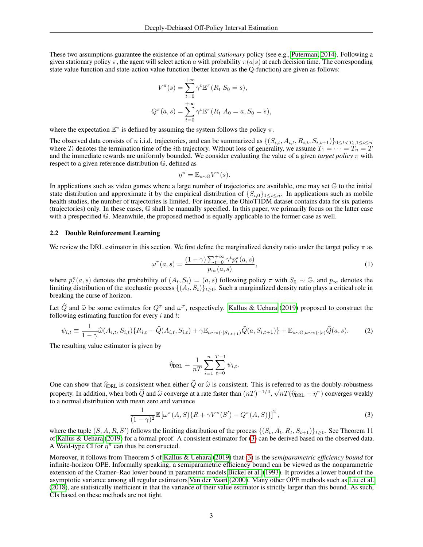These two assumptions guarantee the existence of an optimal *stationary* policy (see e.g., [Puterman, 2014\)](#page-12-15). Following a given stationary policy  $\pi$ , the agent will select action a with probability  $\pi(a|s)$  at each decision time. The corresponding state value function and state-action value function (better known as the Q-function) are given as follows:

$$
V^{\pi}(s) = \sum_{t=0}^{+\infty} \gamma^t \mathbb{E}^{\pi}(R_t|S_0 = s),
$$
  

$$
Q^{\pi}(a, s) = \sum_{t=0}^{+\infty} \gamma^t \mathbb{E}^{\pi}(R_t|A_0 = a, S_0 = s),
$$

where the expectation  $\mathbb{E}^{\pi}$  is defined by assuming the system follows the policy  $\pi$ .

The observed data consists of n i.i.d. trajectories, and can be summarized as  $\{(S_{i,t}, A_{i,t}, R_{i,t}, S_{i,t+1})\}_{0 \le t \le T_i, 1 \le i \le n}$ where  $T_i$  denotes the termination time of the *i*th trajectory. Without loss of generality, we assume  $T_1 = \cdots = T_n = T$ and the immediate rewards are uniformly bounded. We consider evaluating the value of a given *target policy* π with respect to a given reference distribution G, defined as

$$
\eta^{\pi} = \mathbb{E}_{s \sim \mathbb{G}} V^{\pi}(s).
$$

In applications such as video games where a large number of trajectories are available, one may set G to the initial state distribution and approximate it by the empirical distribution of  $\{S_{i,0}\}_{1\leq i\leq n}$ . In applications such as mobile health studies, the number of trajectories is limited. For instance, the OhioT1DM dataset contains data for six patients (trajectories) only. In these cases, G shall be manually specified. In this paper, we primarily focus on the latter case with a prespecified  $\mathbb G$ . Meanwhile, the proposed method is equally applicable to the former case as well.

## <span id="page-2-0"></span>2.2 Double Reinforcement Learning

We review the DRL estimator in this section. We first define the marginalized density ratio under the target policy  $\pi$  as

<span id="page-2-3"></span>
$$
\omega^{\pi}(a,s) = \frac{(1-\gamma)\sum_{t=0}^{+\infty} \gamma^t p_t^{\pi}(a,s)}{p_{\infty}(a,s)},
$$
\n(1)

where  $p_t^{\pi}(a, s)$  denotes the probability of  $(A_t, S_t) = (a, s)$  following policy  $\pi$  with  $S_0 \sim \mathbb{G}$ , and  $p_{\infty}$  denotes the limiting distribution of the stochastic process  $\{(A_t, S_t)\}_{t>0}$ . Such a marginalized density ratio plays a critical role in breaking the curse of horizon.

Let  $\hat{Q}$  and  $\hat{\omega}$  be some estimates for  $Q^{\pi}$  and  $\omega^{\pi}$ , respectively. [Kallus & Uehara](#page-11-15) [\(2019\)](#page-11-15) proposed to construct the following estimating function for every *i* and *t*. following estimating function for every  $i$  and  $t$ :

<span id="page-2-2"></span>
$$
\psi_{i,t} \equiv \frac{1}{1-\gamma} \widehat{\omega}(A_{i,t}, S_{i,t}) \{ R_{i,t} - \widehat{Q}(A_{i,t}, S_{i,t}) + \gamma \mathbb{E}_{a \sim \pi(\cdot | S_{i,t+1})} \widehat{Q}(a, S_{i,t+1}) \} + \mathbb{E}_{s \sim \mathbb{G}, a \sim \pi(\cdot | s)} \widehat{Q}(a, s).
$$
(2)

The resulting value estimator is given by

$$
\widehat{\eta}_{\text{DRL}} = \frac{1}{nT} \sum_{i=1}^{n} \sum_{t=0}^{T-1} \psi_{i,t}.
$$

One can show that  $\hat{\eta}_{\text{DRL}}$  is consistent when either  $Q$  or  $\hat{\omega}$  is consistent. This is referred to as the doubly-robustness property. In addition, when both  $\widehat{Q}$  and  $\widehat{\omega}$  converge at a rate faster than  $(nT)^{-1/4}$ ,  $\sqrt{nT}(\widehat{\eta}_{\text{DRL}} - \eta^{\pi})$  converges weakly to a normal distribution with mean zero and variance to a normal distribution with mean zero and variance

<span id="page-2-1"></span>
$$
\frac{1}{(1-\gamma)^2} \mathbb{E} \left[ \omega^{\pi}(A, S) \{ R + \gamma V^{\pi}(S') - Q^{\pi}(A, S) \} \right]^2, \tag{3}
$$

where the tuple  $(S, A, R, S')$  follows the limiting distribution of the process  $\{(S_t, A_t, R_t, S_{t+1})\}_{t\geq0}$ . See Theorem 11 of [Kallus & Uehara](#page-11-15) [\(2019\)](#page-11-15) for a formal proof. A consistent estimator for [\(3\)](#page-2-1) can be derived based on the observed data. A Wald-type CI for  $\eta^{\pi}$  can thus be constructed.

Moreover, it follows from Theorem 5 of [Kallus & Uehara](#page-11-15) [\(2019\)](#page-11-15) that [\(3\)](#page-2-1) is the *semiparametric efficiency bound* for infinite-horizon OPE. Informally speaking, a semiparametric efficiency bound can be viewed as the nonparametric extension of the Cramer–Rao lower bound in parametric models [Bickel et al.](#page-10-2) [\(1993\)](#page-10-2). It provides a lower bound of the asymptotic variance among all regular estimators [Van der Vaart](#page-12-16) [\(2000\)](#page-12-16). Many other OPE methods such as [Liu et al.](#page-11-6) [\(2018\)](#page-11-6), are statistically inefficient in that the variance of their value estimator is strictly larger than this bound. As such, CIs based on these methods are not tight.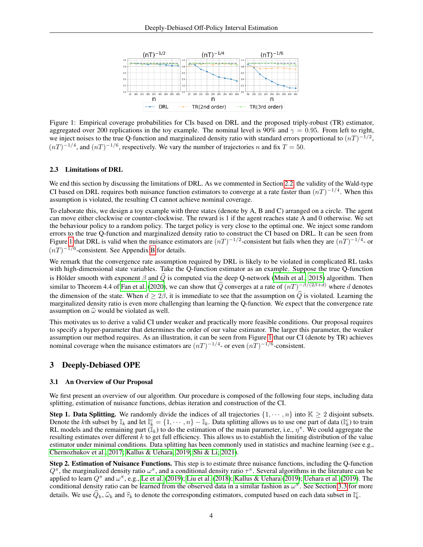<span id="page-3-0"></span>

Figure 1: Empirical coverage probabilities for CIs based on DRL and the proposed triply-robust (TR) estimator, aggregated over 200 replications in the toy example. The nominal level is 90% and  $\gamma = 0.95$ . From left to right, we inject noises to the true Q-function and marginalized density ratio with standard errors proportional to  $(nT)^{-1/2}$ ,  $(nT)^{-1/4}$ , and  $(nT)^{-1/6}$ , respectively. We vary the number of trajectories n and fix  $T = 50$ .

## 2.3 Limitations of DRL

We end this section by discussing the limitations of DRL. As we commented in Section [2.2,](#page-2-0) the validity of the Wald-type CI based on DRL requires both nuisance function estimators to converge at a rate faster than  $(nT)^{-1/4}$ . When this assumption is violated, the resulting CI cannot achieve nominal coverage.

To elaborate this, we design a toy example with three states (denote by A, B and C) arranged on a circle. The agent can move either clockwise or counter-clockwise. The reward is 1 if the agent reaches state A and 0 otherwise. We set the behaviour policy to a random policy. The target policy is very close to the optimal one. We inject some random errors to the true Q-function and marginalized density ratio to construct the CI based on DRL. It can be seen from Figure [1](#page-3-0) that DRL is valid when the nuisance estimators are  $(nT)^{-1/2}$ -consistent but fails when they are  $(nT)^{-1/4}$ - or  $(nT)^{-1/6}$ -consistent. See Appendix [B](#page-20-0) for details.

We remark that the convergence rate assumption required by DRL is likely to be violated in complicated RL tasks with high-dimensional state variables. Take the Q-function estimator as an example. Suppose the true Q-function is Hölder smooth with exponent  $\beta$  and  $\widehat{Q}$  is computed via the deep Q-network [\(Mnih et al., 2015\)](#page-11-20) algorithm. Then similar to Theorem 4.4 of [Fan et al.](#page-11-21) [\(2020\)](#page-11-21), we can show that  $\hat{Q}$  converges at a rate of  $(nT)^{-\beta/(2\beta+d)}$  where d denotes the dimension of the state. When  $d \geq 2\beta$ , it is immediate to see that the assumption on  $\hat{Q}$  is violated. Learning the marginalized density ratio is even more challenging than learning the Q-function. We expect that the convergence rate assumption on  $\hat{\omega}$  would be violated as well.

This motivates us to derive a valid CI under weaker and practically more feasible conditions. Our proposal requires to specify a hyper-parameter that determines the order of our value estimator. The larger this parameter, the weaker assumption our method requires. As an illustration, it can be seen from Figure [1](#page-3-0) that our CI (denote by TR) achieves nominal coverage when the nuisance estimators are  $(nT)^{-1/4}$ - or even  $(nT)^{-1/6}$ -consistent.

## 3 Deeply-Debiased OPE

## 3.1 An Overview of Our Proposal

We first present an overview of our algorithm. Our procedure is composed of the following four steps, including data splitting, estimation of nuisance functions, debias iteration and construction of the CI.

**Step 1. Data Splitting.** We randomly divide the indices of all trajectories  $\{1, \dots, n\}$  into  $\mathbb{K} \geq 2$  disjoint subsets. Denote the kth subset by  $\mathbb{I}_k$  and let  $\mathbb{I}_k^c = \{1, \dots, n\} - \mathbb{I}_k$ . Data splitting allows us to use one part of data  $(\mathbb{I}_k^c)$  to train RL models and the remaining part  $(\tilde{I}_k)$  to do the estimation of the main parameter, i.e.,  $\eta^{\pi}$ . We could aggregate the resulting estimates over different k to get full efficiency. This allows us to establish the limiting distribution of the value estimator under minimal conditions. Data splitting has been commonly used in statistics and machine learning (see e.g., [Chernozhukov et al., 2017;](#page-10-3) [Kallus & Uehara, 2019;](#page-11-15) [Shi & Li, 2021\)](#page-12-17).

Step 2. Estimation of Nuisance Functions. This step is to estimate three nuisance functions, including the Q-function  $Q^{\pi}$ , the marginalized density ratio  $\omega^{\pi}$ , and a conditional density ratio  $\tau^{\pi}$ . Several algorithms in the literature can be applied to learn  $Q^{\pi}$  and  $\omega^{\pi}$ , e.g., [Le et al.](#page-11-3) [\(2019\)](#page-12-9); [Liu et al.](#page-11-6) [\(2018\)](#page-11-6); [Kallus & Uehara](#page-11-15) (2019); [Uehara et al.](#page-12-9) (2019). The conditional density ratio can be learned from the observed data in a similar fashion as  $\omega^{\pi}$ . See Section [3.3](#page-6-0) for more details. We use  $\widehat{Q}_k$ ,  $\widehat{\omega}_k$  and  $\widehat{\tau}_k$  to denote the corresponding estimators, computed based on each data subset in  $\mathbb{I}_k^c$ .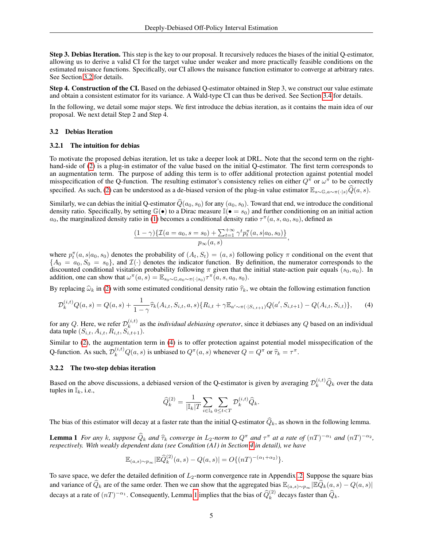Step 3. Debias Iteration. This step is the key to our proposal. It recursively reduces the biases of the initial Q-estimator, allowing us to derive a valid CI for the target value under weaker and more practically feasible conditions on the estimated nuisance functions. Specifically, our CI allows the nuisance function estimator to converge at arbitrary rates. See Section [3.2](#page-4-0) for details.

Step 4. Construction of the CI. Based on the debiased Q-estimator obtained in Step 3, we construct our value estimate and obtain a consistent estimator for its variance. A Wald-type CI can thus be derived. See Section [3.4](#page-7-2) for details.

In the following, we detail some major steps. We first introduce the debias iteration, as it contains the main idea of our proposal. We next detail Step 2 and Step 4.

## <span id="page-4-0"></span>3.2 Debias Iteration

#### 3.2.1 The intuition for debias

To motivate the proposed debias iteration, let us take a deeper look at DRL. Note that the second term on the righthand-side of [\(2\)](#page-2-2) is a plug-in estimator of the value based on the initial Q-estimator. The first term corresponds to an augmentation term. The purpose of adding this term is to offer additional protection against potential model misspecification of the Q-function. The resulting estimator's consistency relies on either  $Q^{\pi}$  or  $\omega^{\pi}$  to be correctly specified. As such, [\(2\)](#page-2-2) can be understood as a de-biased version of the plug-in value estimator  $\mathbb{E}_{s\sim\mathbb{G},a\sim\pi(\cdot|s)}\widehat{Q}(a, s)$ .

Similarly, we can debias the initial Q-estimator  $\hat{Q}(a_0, s_0)$  for any  $(a_0, s_0)$ . Toward that end, we introduce the conditional density ratio. Specifically, by setting  $\mathbb{G}(\bullet)$  to a Dirac measure  $\mathbb{I}(\bullet = s_0)$  and further conditioning on an initial action  $a_0$ , the marginalized density ratio in [\(1\)](#page-2-3) becomes a conditional density ratio  $\tau^{\pi}(a, s, a_0, s_0)$ , defined as

$$
\frac{(1-\gamma)\{\mathcal{I}(a=a_0,s=s_0)+\sum_{t=1}^{+\infty}\gamma^tp_t^{\pi}(a,s|a_0,s_0)\}}{p_{\infty}(a,s)},
$$

where  $p_t^{\pi}(a, s|a_0, s_0)$  denotes the probability of  $(A_t, S_t) = (a, s)$  following policy  $\pi$  conditional on the event that  ${A_0 = a_0, S_0 = s_0}$ , and  $\mathcal{I}(\cdot)$  denotes the indicator function. By definition, the numerator corresponds to the discounted conditional visitation probability following  $\pi$  given that the initial state-action pair equals  $(s_0, a_0)$ . In addition, one can show that  $\omega^{\pi}(a, s) = \mathbb{E}_{s_0 \sim \mathbb{G}, a_0 \sim \pi(\cdot | s_0)} \tau^{\pi}(a, s, a_0, s_0)$ .

By replacing  $\hat{\omega}_k$  in [\(2\)](#page-2-2) with some estimated conditional density ratio  $\hat{\tau}_k$ , we obtain the following estimation function

<span id="page-4-1"></span>
$$
\mathcal{D}_k^{(i,t)}Q(a,s) = Q(a,s) + \frac{1}{1-\gamma}\widehat{\tau}_k(A_{i,t},S_{i,t},a,s)\{R_{i,t} + \gamma \mathbb{E}_{a' \sim \pi(\cdot|S_{i,t+1})}Q(a',S_{i,t+1}) - Q(A_{i,t},S_{i,t})\},\tag{4}
$$

for any Q. Here, we refer  $\mathcal{D}_k^{(i,t)}$  $k_k^{(i,t)}$  as the *individual debiasing operator*, since it debiases any  $Q$  based on an individual data tuple  $(S_{i,t}, A_{i,t}, R_{i,t}, S_{i,t+1}^{\dagger}).$ 

Similar to [\(2\)](#page-2-2), the augmentation term in [\(4\)](#page-4-1) is to offer protection against potential model misspecification of the Q-function. As such,  $\mathcal{D}_k^{(i,t)}Q(a,s)$  is unbiased to  $Q^{\pi}(a,s)$  whenever  $Q = Q^{\pi}$  or  $\widehat{\tau}_k = \tau^{\pi}$ .

#### 3.2.2 The two-step debias iteration

Based on the above discussions, a debiased version of the Q-estimator is given by averaging  $\mathcal{D}_k^{(i,t)}\hat{Q}_k$  over the data tuples in  $\mathbb{I}_k$ , i.e.,

<span id="page-4-2"></span>
$$
\widehat{Q}_k^{(2)} = \frac{1}{|\mathbb{I}_k|T} \sum_{i \in \mathbb{I}_k} \sum_{0 \le t < T} \mathcal{D}_k^{(i,t)} \widehat{Q}_k.
$$

The bias of this estimator will decay at a faster rate than the initial Q-estimator  $\hat{Q}_k$ , as shown in the following lemma.

**Lemma 1** For any k, suppose  $\widehat{Q}_k$  and  $\widehat{\tau}_k$  converge in  $L_2$ -norm to  $Q^{\pi}$  and  $\tau^{\pi}$  at a rate of  $(nT)^{-\alpha_1}$  and  $(nT)^{-\alpha_2}$ , respectively. With weakly dependent data (see Condition (A1) in Section 4 in de *respectively. With weakly dependent data (see Condition (A1) in Section [4](#page-7-3) in detail), we have*

$$
\mathbb{E}_{(a,s)\sim p_{\infty}}|\mathbb{E}\widehat{Q}_{k}^{(2)}(a,s)-Q(a,s)|=O\{(nT)^{-(\alpha_{1}+\alpha_{2})}\}.
$$

To save space, we defer the detailed definition of  $L_2$ -norm convergence rate in Appendix [.2.](#page-13-0) Suppose the square bias and variance of  $\widehat{Q}_k$  are of the same order. Then we can show that the aggregated bias  $\mathbb{E}_{(a,s)\sim p_\infty}|\mathbb{E}\widehat{Q}_k(a,s)-Q(a,s)|$ decays at a rate of  $(nT)^{-\alpha_1}$ . Consequently, Lemma [1](#page-4-2) implies that the bias of  $\hat{Q}_k^{(2)}$  decays faster than  $\hat{Q}_k$ .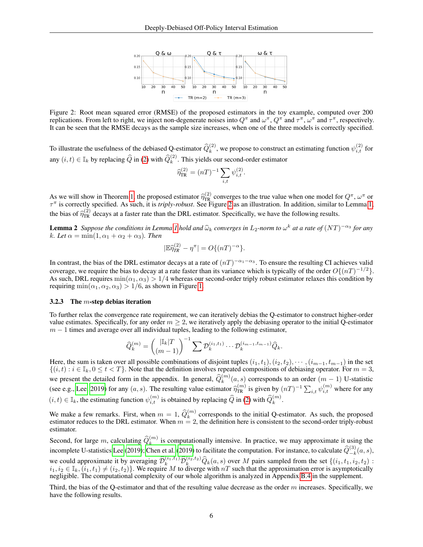

Figure 2: Root mean squared error (RMSE) of the proposed estimators in the toy example, computed over 200 replications. From left to right, we inject non-degenerate noises into  $Q^{\pi}$  and  $\omega^{\pi}$ ,  $Q^{\pi}$  and  $\tau^{\pi}$ ,  $\omega^{\pi}$  and  $\tau^{\pi}$ , respectively. It can be seen that the RMSE decays as the sample size increases, when one of the three models is correctly specified.

To illustrate the usefulness of the debiased Q-estimator  $\hat{Q}_k^{(2)}$ , we propose to construct an estimating function  $\psi_{i,t}^{(2)}$  for any  $(i, t) \in \mathbb{I}_k$  by replacing  $\widehat{Q}$  in [\(2\)](#page-2-2) with  $\widehat{Q}_k^{(2)}$ . This yields our second-order estimator

<span id="page-5-1"></span><span id="page-5-0"></span>
$$
\widehat{\eta}_{\rm TR}^{(2)} = (nT)^{-1} \sum_{i,t} \psi_{i,t}^{(2)}.
$$

As we will show in Theorem [1,](#page-7-0) the proposed estimator  $\hat{\eta}_{\text{LR}}^{(2)}$  converges to the true value when one model for  $Q^{\pi}$ ,  $\omega^{\pi}$  or  $\tau^{\pi}$  is correctly specified. As such it is *triply-robust*. See Figure 2 as an  $\tau^{\pi}$  is correctly specified. As such, it is *triply-robust*. See Figure [2](#page-5-0) as an illustration. In addition, similar to Lemma [1,](#page-4-2) the bias of  $\hat{\eta}_{TR}^{(2)}$  decays at a faster rate than the DRL estimator. Specifically, we have the following results.

**Lemma 2** Suppose the conditions in Lemma [1](#page-4-2) hold and  $\hat{\omega}_k$  converges in  $L_2$ -norm to  $\omega^k$  at a rate of  $(NT)^{-\alpha_3}$  for any  $k$  *Let*  $\alpha = \min(1, \alpha_k + \alpha_0 + \alpha_0)$ . Then k. Let  $\alpha = \min(1, \alpha_1 + \alpha_2 + \alpha_3)$ . Then

$$
|\mathbb{E}\widehat{\eta}_{TR}^{(2)} - \eta^{\pi}| = O\{(nT)^{-\alpha}\}.
$$

In contrast, the bias of the DRL estimator decays at a rate of  $(nT)^{-\alpha_1-\alpha_3}$ . To ensure the resulting CI achieves valid coverage, we require the bias to decay at a rate faster than its variance which is typically of the order  $O\{(nT)^{-1/2}\}$ . As such, DRL requires  $min(\alpha_1, \alpha_3) > 1/4$  whereas our second-order triply robust estimator relaxes this condition by requiring min $(\alpha_1, \alpha_2, \alpha_3) > 1/6$ , as shown in Figure [1.](#page-3-0)

#### 3.2.3 The  $m$ -step debias iteration

To further relax the convergence rate requirement, we can iteratively debias the Q-estimator to construct higher-order value estimates. Specifically, for any order  $m \geq 2$ , we iteratively apply the debiasing operator to the initial Q-estimator  $m - 1$  times and average over all individual tuples, leading to the following estimator,

$$
\widehat{Q}_{k}^{(m)} = {\binom{\|\mathbb{I}_{k}|T}{(m-1)}}^{-1} \sum \mathcal{D}_{k}^{(i_1,t_1)} \cdots \mathcal{D}_{k}^{(i_{m-1},t_{m-1})} \widehat{Q}_{k}.
$$

Here, the sum is taken over all possible combinations of disjoint tuples  $(i_1, t_1), (i_2, t_2), \cdots, (i_{m-1}, t_{m-1})$  in the set  $\{(i, t): i \in \mathbb{I}_k, 0 \le t < T\}$ . Note that the definition involves repeated compositions of debiasing operator. For  $m = 3$ , we present the detailed form in the appendix. In general,  $\hat{Q}_k^{(m)}(a, s)$  corresponds to an order  $(m-1)$  U-statistic (see e.g., [Lee, 2019\)](#page-11-22) for any  $(a, s)$ . The resulting value estimator  $\hat{\eta}_{TR}^{(m)}$  is given by  $(nT)^{-1} \sum_{i,t} \psi_{i,t}^{(m)}$  where for any  $(i, t) \in \mathbb{I}_k$ , the estimating function  $\psi_{i,t}^{(m)}$  is obtained by replacing  $\widehat{Q}$  in [\(2\)](#page-2-2) with  $\widehat{Q}_k^{(m)}$ .

We make a few remarks. First, when  $m = 1$ ,  $\widehat{Q}_k^{(m)}$  corresponds to the initial Q-estimator. As such, the proposed estimator reduces to the DRL estimator. When  $m = 2$ , the definition here is consistent to the second-order triply-robust estimator.

Second, for large m, calculating  $\widehat{Q}_k^{(m)}$  is computationally intensive. In practice, we may approximate it using the incomplete U-statistics [Lee](#page-11-22) [\(2019\)](#page-10-4); [Chen et al.](#page-10-4) (2019) to facilitate the computation. For instance, to calculate  $\hat{Q}_{-k}^{(3)}(a, s)$ ,

we could approximate it by averaging  $\widehat{\mathcal{D}}_k^{(i_1,t_1)} \widehat{\mathcal{D}}_k^{(i_2,t_2)} \widehat{Q}_k(a,s)$  over M pairs sampled from the set  $\{(i_1, t_1, i_2, t_2) : i_1, i_2 \in \mathbb{I}_k, (i_1, t_1) \neq (i_2, t_2)\}$ . We require M to diverge with  $nT$  s negligible. The computational complexity of our whole algorithm is analyzed in Appendix [B.4](#page-22-1) in the supplement.

<span id="page-5-2"></span>Third, the bias of the Q-estimator and that of the resulting value decrease as the order  $m$  increases. Specifically, we have the following results.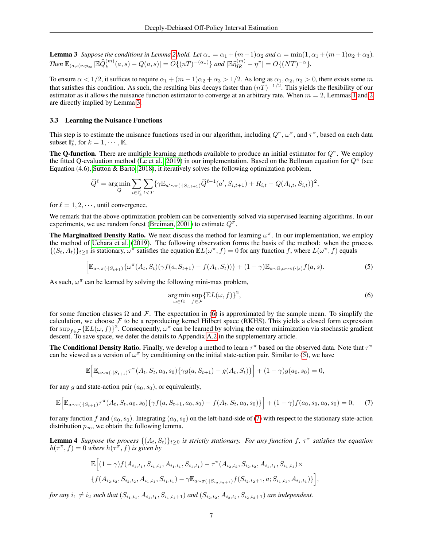**Lemma 3** *Suppose the conditions in Lemma* [2](#page-5-1) *hold. Let*  $\alpha_* = \alpha_1 + (m-1)\alpha_2$  *and*  $\alpha = \min(1, \alpha_1 + (m-1)\alpha_2 + \alpha_3)$ *. Then*  $\mathbb{E}_{(a,s)\sim p_\infty}$   $|\mathbb{E}\widehat{Q}_k^{(m)}(a,s) - Q(a,s)| = O\{(nT)^{-(\alpha_*)}\}\$ and  $|\mathbb{E}\widehat{\eta}_{TR}^{(m)} - \eta^{\pi}| = O\{(NT)^{-\alpha}\}.$ 

To ensure  $\alpha < 1/2$ , it suffices to require  $\alpha_1 + (m-1)\alpha_2 + \alpha_3 > 1/2$ . As long as  $\alpha_1, \alpha_2, \alpha_3 > 0$ , there exists some m that satisfies this condition. As such, the resulting bias decays faster than  $(nT)^{-1/2}$ . This yields the flexibility of our estimator as it allows the nuisance function estimator to converge at an arbitrary rate. When  $m = 2$  $m = 2$ , Lemmas [1](#page-4-2) and 2 are directly implied by Lemma [3.](#page-5-2)

## <span id="page-6-0"></span>3.3 Learning the Nuisance Functions

This step is to estimate the nuisance functions used in our algorithm, including  $Q^{\pi}$ ,  $\omega^{\pi}$ , and  $\tau^{\pi}$ , based on each data subset  $\mathbb{I}_{k}^{\dot{c}}$ , for  $k = 1, \cdots, \mathbb{K}$ .

**The Q-function.** There are multiple learning methods available to produce an initial estimator for  $Q^{\pi}$ . We employ the fitted Q-evaluation method [\(Le et al., 2019\)](#page-11-3) in our implementation. Based on the Bellman equation for  $Q^{\pi}$  (see Equation (4.6), [Sutton & Barto, 2018\)](#page-12-0), it iteratively solves the following optimization problem,

$$
\hat{Q}^{\ell} = \underset{Q}{\arg\min} \sum_{i \in \mathbb{I}_{k}^{c}} \sum_{t < T} \{ \gamma \mathbb{E}_{a' \sim \pi(\cdot | S_{i,t+1})} \hat{Q}^{\ell-1}(a', S_{i,t+1}) + R_{i,t} - Q(A_{i,t}, S_{i,t}) \}^{2},
$$

for  $\ell = 1, 2, \dots$ , until convergence.

We remark that the above optimization problem can be conveniently solved via supervised learning algorithms. In our experiments, we use random forest [\(Breiman, 2001\)](#page-10-5) to estimate  $Q^{\pi}$ .

The Marginalized Density Ratio. We next discuss the method for learning  $\omega^{\pi}$ . In our implementation, we employ the method of [Uehara et al.](#page-12-9) [\(2019\)](#page-12-9). The following observation forms the basis of the method: when the process  $\{(S_t, A_t)\}_{t\geq 0}$  is stationary,  $\omega^{\pi}$  satisfies the equation  $\mathbb{E}L(\omega^{\pi}, f) = 0$  for any function f, where  $L(\omega^{\pi}, f)$  equals

<span id="page-6-2"></span>
$$
\left[\mathbb{E}_{a\sim\pi(\cdot|S_{t+1})}\{\omega^{\pi}(A_t,S_t)(\gamma f(a,S_{t+1})-f(A_t,S_t))\}+(1-\gamma)\mathbb{E}_{s\sim\mathbb{G},a\sim\pi(\cdot|s)}f(a,s).\right]
$$
\n(5)

As such,  $\omega^{\pi}$  can be learned by solving the following mini-max problem,

<span id="page-6-1"></span>
$$
\underset{\omega \in \Omega}{\arg \min} \underset{f \in \mathcal{F}}{\sup} \{ \mathbb{E}L(\omega, f) \}^2,\tag{6}
$$

for some function classes  $\Omega$  and F. The expectation in [\(6\)](#page-6-1) is approximated by the sample mean. To simplify the calculation, we choose  $\mathcal F$  to be a reproducing kernel Hilbert space (RKHS). This yields a closed form expression for  $\sup_{f \in \mathcal{F}} \{ \mathbb{E}L(\omega, f) \}^2$ . Consequently,  $\omega^{\pi}$  can be learned by solving the outer minimization via stochastic gradient descent. To save space, we defer the details to Appendix [A.2](#page-19-0) in the supplementary article.

The Conditional Density Ratio. Finally, we develop a method to learn  $\tau^{\pi}$  based on the observed data. Note that  $\tau^{\pi}$ can be viewed as a version of  $\omega^{\pi}$  by conditioning on the initial state-action pair. Similar to [\(5\)](#page-6-2), we have

$$
\mathbb{E}\Big[\mathbb{E}_{a\sim\pi(\cdot|S_{t+1})}\tau^{\pi}(A_t, S_t, a_0, s_0)\{\gamma g(a, S_{t+1}) - g(A_t, S_t)\}\Big] + (1-\gamma)g(a_0, s_0) = 0,
$$

for any g and state-action pair  $(a_0, s_0)$ , or equivalently,

<span id="page-6-3"></span>
$$
\mathbb{E}\Big[\mathbb{E}_{a\sim\pi(\cdot|S_{t+1})}\tau^{\pi}(A_t, S_t, a_0, s_0)\{\gamma f(a, S_{t+1}, a_0, s_0) - f(A_t, S_t, a_0, s_0)\}\Big] + (1-\gamma)f(a_0, s_0, a_0, s_0) = 0,\tag{7}
$$

for any function f and  $(a_0, s_0)$ . Integrating  $(a_0, s_0)$  on the left-hand-side of [\(7\)](#page-6-3) with respect to the stationary state-action distribution  $p_{\infty}$ , we obtain the following lemma.

**Lemma 4** Suppose the process  $\{(A_t, S_t)\}_{t \geq 0}$  is strictly stationary. For any function f,  $\tau^{\pi}$  satisfies the equation  $h(\tau^{\pi}, f) = 0$  where  $h(\tau^{\pi}, f)$  is given by

<span id="page-6-4"></span>
$$
\mathbb{E}\Big[(1-\gamma)f(A_{i_1,t_1},S_{i_1,t_1},A_{i_1,t_1},S_{i_1,t_1})-\tau^{\pi}(A_{i_2,t_2},S_{i_2,t_2},A_{i_1,t_1},S_{i_1,t_1})\times \{f(A_{i_2,t_2},S_{i_2,t_2},A_{i_1,t_1},S_{i_1,t_1})-\gamma\mathbb{E}_{a\sim\pi(\cdot|S_{i_2,t_2+1})}f(S_{i_2,t_2+1},a;S_{i_1,t_1},A_{i_1,t_1})\}\Big],
$$

*for any*  $i_1 \neq i_2$  such that  $(S_{i_1,t_1}, A_{i_1,t_1}, S_{i_1,t_1+1})$  and  $(S_{i_2,t_2}, A_{i_2,t_2}, S_{i_2,t_2+1})$  are independent.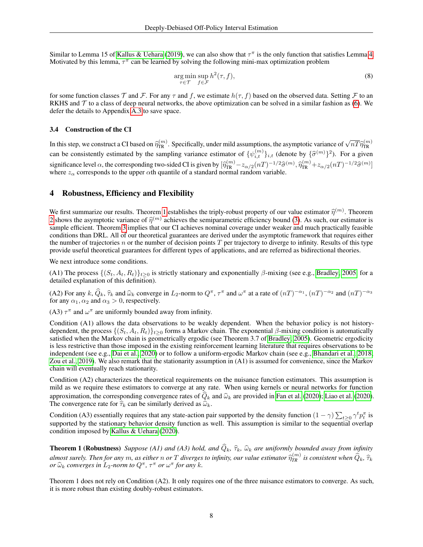Similar to Lemma 15 of [Kallus & Uehara](#page-11-15) [\(2019\)](#page-11-15), we can also show that  $\tau^{\pi}$  is the only function that satisfies Lemma [4.](#page-6-4) Motivated by this lemma,  $\tau^{\pi}$  can be learned by solving the following mini-max optimization problem

$$
\underset{\tau \in \mathcal{T}}{\arg \min} \underset{f \in \mathcal{F}}{\sup} h^2(\tau, f),\tag{8}
$$

for some function classes T and F. For any  $\tau$  and f, we estimate  $h(\tau, f)$  based on the observed data. Setting F to an RKHS and  $\mathcal T$  to a class of deep neural networks, the above optimization can be solved in a similar fashion as [\(6\)](#page-6-1). We defer the details to Appendix [A.3](#page-20-1) to save space.

## <span id="page-7-2"></span>3.4 Construction of the CI

In this step, we construct a CI based on  $\hat{\eta}_{TR}^{(m)}$ . Specifically, under mild assumptions, the asymptotic variance of  $\sqrt{nT} \hat{\eta}_{TR}^{(m)}$ TR can be consistently estimated by the sampling variance estimator of  $\{\psi_{i,t}^{(m)}\}_{i,t}$  (denote by  $\{\hat{\sigma}^{(m)}\}^2$ ). For a given significance level  $\alpha$ , the corresponding two-sided CI is given by  $[\hat{\eta}_{\text{TR}}^{(m)} - z_{\alpha/2}(nT)^{-1/2}\hat{\sigma}^{(m)}, \hat{\eta}_{\text{TR}}^{(m)} + z_{\alpha/2}(nT)^{-1/2}\hat{\sigma}^{(m)}]$ <br>where  $z$  corresponds to the unner of h quantile of a standard normal ran where  $z_{\alpha}$  corresponds to the upper  $\alpha$ th quantile of a standard normal random variable.

# <span id="page-7-3"></span>4 Robustness, Efficiency and Flexibility

We first summarize our results. Theorem [1](#page-7-0) establishes the triply-robust property of our value estimator  $\hat{\eta}^{(m)}$ . Theorem 2 shows the segmentation value of  $\hat{\eta}^{(m)}$ . Theorem 2 shows the segmentation value of  $\hat{\eta}^{$ [2](#page-7-1) shows the asymptotic variance of  $\hat{\eta}^{(m)}$  achieves the semiparametric efficiency bound [\(3\)](#page-2-1). As such, our estimator is<br>sample efficient. Theorem 3 inplies that our CI achieves nominal coverage under weaker and much pr sample efficient. Theorem [3](#page-8-0) implies that our CI achieves nominal coverage under weaker and much practically feasible conditions than DRL. All of our theoretical guarantees are derived under the asymptotic framework that requires either the number of trajectories  $n$  or the number of decision points  $T$  per trajectory to diverge to infinity. Results of this type provide useful theoretical guarantees for different types of applications, and are referred as bidirectional theories.

We next introduce some conditions.

(A1) The process  $\{(S_t, A_t, R_t)\}_{t>0}$  is strictly stationary and exponentially  $\beta$ -mixing (see e.g., [Bradley, 2005,](#page-10-6) for a detailed explanation of this definition).

(A2) For any  $k$ ,  $\hat{Q}_k$ ,  $\hat{\tau}_k$  and  $\hat{\omega}_k$  converge in  $L_2$ -norm to  $Q^{\pi}$ ,  $\tau^{\pi}$  and  $\omega^{\pi}$  at a rate of  $(nT)^{-\alpha_1}$ ,  $(nT)^{-\alpha_2}$  and  $(nT)^{-\alpha_3}$ <br>for any  $\alpha_1$ ,  $\alpha_2$  and  $\alpha_3 > 0$  respectively for any  $\alpha_1, \alpha_2$  and  $\alpha_3 > 0$ , respectively.

(A3)  $\tau^{\pi}$  and  $\omega^{\pi}$  are uniformly bounded away from infinity.

Condition (A1) allows the data observations to be weakly dependent. When the behavior policy is not historydependent, the process  $\{(S_t, A_t, R_t)\}_{t>0}$  forms a Markov chain. The exponential  $\beta$ -mixing condition is automatically satisfied when the Markov chain is geometrically ergodic (see Theorem 3.7 of [Bradley, 2005\)](#page-10-6). Geometric ergodicity is less restrictive than those imposed in the existing reinforcement learning literature that requires observations to be independent (see e.g., [Dai et al., 2020\)](#page-10-1) or to follow a uniform-ergodic Markov chain (see e.g., [Bhandari et al., 2018;](#page-10-7) [Zou et al., 2019\)](#page-12-18). We also remark that the stationarity assumption in (A1) is assumed for convenience, since the Markov chain will eventually reach stationarity.

Condition (A2) characterizes the theoretical requirements on the nuisance function estimators. This assumption is mild as we require these estimators to converge at any rate. When using kernels or neural networks for function approximation, the corresponding convergence rates of  $\hat{Q}_k$  and  $\hat{\omega}_k$  are provided in [Fan et al.](#page-11-21) [\(2020\)](#page-11-23); [Liao et al.](#page-11-23) (2020). The convergence rate for  $\hat{\tau}_k$  can be similarly derived as  $\hat{\omega}_k$ .

Condition (A3) essentially requires that any state-action pair supported by the density function  $(1 - \gamma) \sum_{t \geq 0} \gamma^t p_t^{\pi}$  is supported by the stationary behavior density function as well. This assumption is similar to the sequential overlap condition imposed by [Kallus & Uehara](#page-11-10) [\(2020\)](#page-11-10).

<span id="page-7-0"></span>**Theorem 1 (Robustness)** *Suppose (A1) and (A3) hold, and*  $\hat{Q}_k$ ,  $\hat{\tau}_k$ ,  $\hat{\omega}_k$  are uniformly bounded away from infinity *almost surely. Then for any*  $m$ , as either  $n$  or  $T$  diverges to infinity, our value estimator  $\widehat{\eta}_{TR}^{(m)}$  is consistent when  $\widehat{Q}_k$ ,  $\widehat{\tau}_k$ <br>or  $\widehat{\omega}_k$  converges in L<sub>2</sub>-norm to  $O^{\pi}$ ,  $\tau^{\pi}$  or  $\omega^{\pi}$ *or*  $\widehat{\omega}_k$  *converges in*  $L_2$ *-norm to*  $Q^{\pi}$ *,*  $\tau^{\pi}$  *or*  $\omega^{\pi}$  *for any k*.

<span id="page-7-1"></span>Theorem 1 does not rely on Condition (A2). It only requires one of the three nuisance estimators to converge. As such, it is more robust than existing doubly-robust estimators.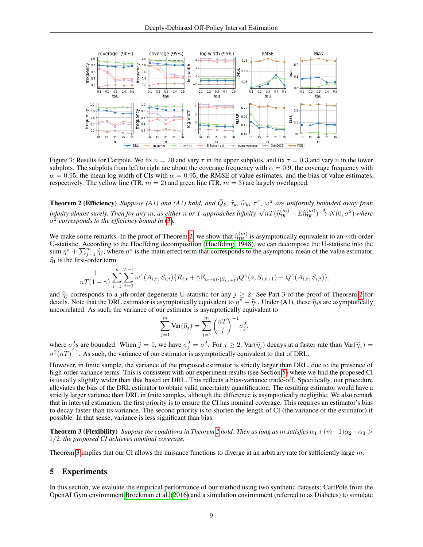

Figure 3: Results for Cartpole. We fix  $n = 20$  and vary  $\tau$  in the upper subplots, and fix  $\tau = 0.3$  and vary n in the lower subplots. The subplots from left to right are about the coverage frequency with  $\alpha = 0.9$ , the coverage frequency with  $\alpha = 0.95$ , the mean log width of CIs with  $\alpha = 0.95$ , the RMSE of value estimates, and the bias of value estimates, respectively. The yellow line (TR,  $m = 2$ ) and green line (TR,  $m = 3$ ) are largely overlapped.

**Theorem 2 (Efficiency)** *Suppose (A1) and (A2) hold, and*  $\hat{Q}_k$ ,  $\hat{\tau}_k$ ,  $\hat{\omega}_k$ ,  $\tau^{\pi}$ ,  $\omega^{\pi}$  are uniformly bounded away from *infinity almost surely. Then for any* m, as either n or T approaches infinity,  $\sqrt{nT}(\hat{\eta}_{TR}^{(m)} - \mathbb{E} \hat{\eta}_{TR}^{(m)}) \stackrel{d}{\rightarrow} N(0, \sigma^2)$  where  $\sigma^2$  *corresponds to the efficiency bound in* (3) σ 2 *corresponds to the efficiency bound in* [\(3\)](#page-2-1)*.*

We make some remarks. In the proof of Theorem [2,](#page-7-1) we show that  $\hat{\eta}_{TR}^{(m)}$  is asymptotically equivalent to an *m*th order  $U$ -statistic According to the Hoeffding decomposition (Hoeffding 1948), we can decompose the U-st U-statistic. According to the Hoeffding decomposition [\(Hoeffding, 1948\)](#page-11-24), we can decompose the U-statistic into the sum  $\eta^{\pi} + \sum_{j=1}^{m} \hat{\eta}_j$ , where  $\eta^{\pi}$  is the main effect term that corresponds to the asymptotic mean of the value estimator,  $\hat{\eta}_1$  is the first-order term

$$
\frac{1}{nT(1-\gamma)}\sum_{i=1}^{n}\sum_{t=0}^{T-1}\omega^{\pi}(A_{i,t},S_{i,t})\{R_{i,t}+\gamma\mathbb{E}_{a\sim\pi(\cdot|S_{i,t+1})}Q^{\pi}(a,S_{i,t+1})-Q^{\pi}(A_{i,t},S_{i,t})\},\,
$$

and  $\hat{\eta}_j$  corresponds to a jth order degenerate U-statistic for any  $j \geq 2$  $j \geq 2$ . See Part 3 of the proof of Theorem 2 for details. Note that the DRL estimator is asymptotically equivalent to  $\eta^{\pi} + \hat{\eta}_1$ . Under (A1), these  $\hat{\eta}_j$ s are asymptotically<br>uncorrelated. As such the variance of our estimator is asymptotically equivalent to uncorrelated. As such, the variance of our estimator is asymptotically equivalent to

<span id="page-8-2"></span>
$$
\sum_{j=1}^{m} \text{Var}(\widehat{\eta}_j) = \sum_{j=1}^{m} {nT \choose j}^{-1} \sigma_j^2,
$$

where  $\sigma_j^2$ s are bounded. When  $j = 1$ , we have  $\sigma_j^2 = \sigma^2$ . For  $j \ge 2$ , Var( $\hat{\eta}_j$ ) decays at a faster rate than Var( $\hat{\eta}_1$ ) =  $\sigma^2(nT)^{-1}$ . As such, the variance of our estimator is asymptotically equivalent to t

However, in finite sample, the variance of the proposed estimator is strictly larger than DRL, due to the presence of high-order variance terms. This is consistent with our experiment results (see Section [5\)](#page-8-1) where we find the proposed CI is usually slightly wider than that based on DRL. This reflects a bias-variance trade-off. Specifically, our procedure alleviates the bias of the DRL estimator to obtain valid uncertainty quantification. The resulting estimator would have a strictly larger variance than DRL in finite samples, although the difference is asymptotically negligible. We also remark that in interval estimation, the first priority is to ensure the CI has nominal coverage. This requires an estimator's bias to decay faster than its variance. The second priority is to shorten the length of CI (the variance of the estimator) if possible. In that sense, variance is less significant than bias.

<span id="page-8-0"></span>**Theorem 3 (Flexibility)** *Suppose the conditions in Theorem* [2](#page-7-1) *hold. Then as long as m satisfies*  $\alpha_1 + (m-1)\alpha_2 + \alpha_3$  > 1/2*, the proposed CI achieves nominal coverage.*

Theorem [3](#page-8-0) implies that our CI allows the nuisance functions to diverge at an arbitrary rate for sufficiently large  $m$ .

# <span id="page-8-1"></span>5 Experiments

In this section, we evaluate the empirical performance of our method using two synthetic datasets: CartPole from the OpenAI Gym environment [Brockman et al.](#page-10-8) [\(2016\)](#page-10-8) and a simulation environment (referred to as Diabetes) to simulate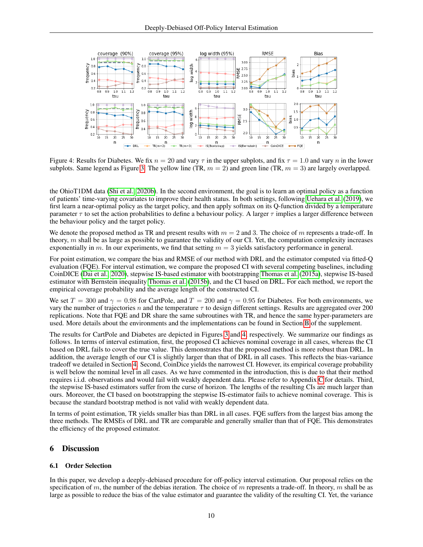<span id="page-9-0"></span>

Figure 4: Results for Diabetes. We fix  $n = 20$  and vary  $\tau$  in the upper subplots, and fix  $\tau = 1.0$  and vary n in the lower subplots. Same legend as Figure [3.](#page-8-2) The yellow line (TR,  $m = 2$ ) and green line (TR,  $m = 3$ ) are largely overlapped.

the OhioT1DM data [\(Shi et al., 2020b\)](#page-12-3). In the second environment, the goal is to learn an optimal policy as a function of patients' time-varying covariates to improve their health status. In both settings, following [Uehara et al.](#page-12-9) [\(2019\)](#page-12-9), we first learn a near-optimal policy as the target policy, and then apply softmax on its Q-function divided by a temperature parameter  $\tau$  to set the action probabilities to define a behaviour policy. A larger  $\tau$  implies a larger difference between the behaviour policy and the target policy.

We denote the proposed method as TR and present results with  $m = 2$  and 3. The choice of m represents a trade-off. In theory,  $m$  shall be as large as possible to guarantee the validity of our CI. Yet, the computation complexity increases exponentially in m. In our experiments, we find that setting  $m = 3$  yields satisfactory performance in general.

For point estimation, we compare the bias and RMSE of our method with DRL and the estimator computed via fitted-Q evaluation (FQE). For interval estimation, we compare the proposed CI with several competing baselines, including CoinDICE [\(Dai et al., 2020\)](#page-10-1), stepwise IS-based estimator with bootstrapping [Thomas et al.](#page-12-19) [\(2015a\)](#page-12-19), stepwise IS-based estimator with Bernstein inequality [Thomas et al.](#page-12-6) [\(2015b\)](#page-12-6), and the CI based on DRL. For each method, we report the empirical coverage probability and the average length of the constructed CI.

We set  $T = 300$  and  $\gamma = 0.98$  for CartPole, and  $T = 200$  and  $\gamma = 0.95$  for Diabetes. For both environments, we vary the number of trajectories n and the temperature  $\tau$  to design different settings. Results are aggregated over 200 replications. Note that FQE and DR share the same subroutines with TR, and hence the same hyper-parameters are used. More details about the environments and the implementations can be found in Section [B](#page-20-0) of the supplement.

The results for CartPole and Diabetes are depicted in Figures [3](#page-8-2) and [4,](#page-9-0) respectively. We summarize our findings as follows. In terms of interval estimation, first, the proposed CI achieves nominal coverage in all cases, whereas the CI based on DRL fails to cover the true value. This demonstrates that the proposed method is more robust than DRL. In addition, the average length of our CI is slightly larger than that of DRL in all cases. This reflects the bias-variance tradeoff we detailed in Section [4.](#page-7-3) Second, CoinDice yields the narrowest CI. However, its empirical coverage probability is well below the nominal level in all cases. As we have commented in the introduction, this is due to that their method requires i.i.d. observations and would fail with weakly dependent data. Please refer to Appendix [C](#page-22-0) for details. Third, the stepwise IS-based estimators suffer from the curse of horizon. The lengths of the resulting CIs are much larger than ours. Moreover, the CI based on bootstrapping the stepwise IS-estimator fails to achieve nominal coverage. This is because the standard bootstrap method is not valid with weakly dependent data.

In terms of point estimation, TR yields smaller bias than DRL in all cases. FQE suffers from the largest bias among the three methods. The RMSEs of DRL and TR are comparable and generally smaller than that of FQE. This demonstrates the efficiency of the proposed estimator.

# 6 Discussion

## 6.1 Order Selection

In this paper, we develop a deeply-debiased procedure for off-policy interval estimation. Our proposal relies on the specification of m, the number of the debias iteration. The choice of m represents a trade-off. In theory, m shall be as large as possible to reduce the bias of the value estimator and guarantee the validity of the resulting CI. Yet, the variance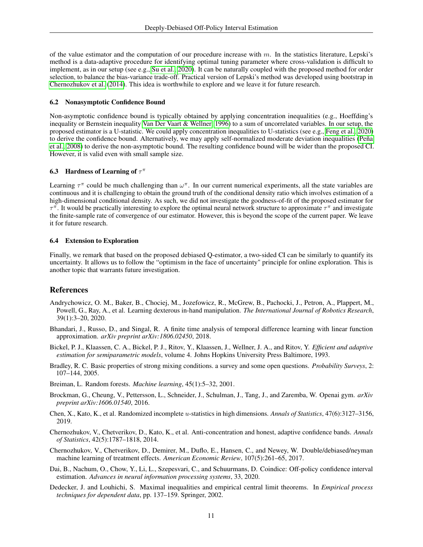of the value estimator and the computation of our procedure increase with  $m$ . In the statistics literature, Lepski's method is a data-adaptive procedure for identifying optimal tuning parameter where cross-validation is difficult to implement, as in our setup (see e.g., [Su et al., 2020\)](#page-12-20). It can be naturally coupled with the proposed method for order selection, to balance the bias-variance trade-off. Practical version of Lepski's method was developed using bootstrap in [Chernozhukov et al.](#page-10-9) [\(2014\)](#page-10-9). This idea is worthwhile to explore and we leave it for future research.

## 6.2 Nonasymptotic Confidence Bound

Non-asymptotic confidence bound is typically obtained by applying concentration inequalities (e.g., Hoeffding's inequality or Bernstein inequality [Van Der Vaart & Wellner, 1996\)](#page-12-21) to a sum of uncorrelated variables. In our setup, the proposed estimator is a U-statistic. We could apply concentration inequalities to U-statistics (see e.g., [Feng et al., 2020\)](#page-11-4) to derive the confidence bound. Alternatively, we may apply self-normalized moderate deviation inequalities [\(Peña](#page-12-22) [et al., 2008\)](#page-12-22) to derive the non-asymptotic bound. The resulting confidence bound will be wider than the proposed CI. However, it is valid even with small sample size.

## 6.3 Hardness of Learning of  $\tau^{\pi}$

Learning  $\tau^{\pi}$  could be much challenging than  $\omega^{\pi}$ . In our current numerical experiments, all the state variables are continuous and it is challenging to obtain the ground truth of the conditional density ratio which involves estimation of a high-dimensional conditional density. As such, we did not investigate the goodness-of-fit of the proposed estimator for  $\tau^{\pi}$ . It would be practically interesting to explore the optimal neural network structure to approximate  $\tau^{\pi}$  and investigate the finite-sample rate of convergence of our estimator. However, this is beyond the scope of the current paper. We leave it for future research.

## 6.4 Extension to Exploration

Finally, we remark that based on the proposed debiased Q-estimator, a two-sided CI can be similarly to quantify its uncertainty. It allows us to follow the "optimism in the face of uncertainty" principle for online exploration. This is another topic that warrants future investigation.

# **References**

- <span id="page-10-0"></span>Andrychowicz, O. M., Baker, B., Chociej, M., Jozefowicz, R., McGrew, B., Pachocki, J., Petron, A., Plappert, M., Powell, G., Ray, A., et al. Learning dexterous in-hand manipulation. *The International Journal of Robotics Research*, 39(1):3–20, 2020.
- <span id="page-10-7"></span>Bhandari, J., Russo, D., and Singal, R. A finite time analysis of temporal difference learning with linear function approximation. *arXiv preprint arXiv:1806.02450*, 2018.
- <span id="page-10-2"></span>Bickel, P. J., Klaassen, C. A., Bickel, P. J., Ritov, Y., Klaassen, J., Wellner, J. A., and Ritov, Y. *Efficient and adaptive estimation for semiparametric models*, volume 4. Johns Hopkins University Press Baltimore, 1993.
- <span id="page-10-6"></span>Bradley, R. C. Basic properties of strong mixing conditions. a survey and some open questions. *Probability Surveys*, 2: 107–144, 2005.
- <span id="page-10-5"></span>Breiman, L. Random forests. *Machine learning*, 45(1):5–32, 2001.
- <span id="page-10-8"></span>Brockman, G., Cheung, V., Pettersson, L., Schneider, J., Schulman, J., Tang, J., and Zaremba, W. Openai gym. *arXiv preprint arXiv:1606.01540*, 2016.
- <span id="page-10-4"></span>Chen, X., Kato, K., et al. Randomized incomplete u-statistics in high dimensions. *Annals of Statistics*, 47(6):3127–3156, 2019.
- <span id="page-10-9"></span>Chernozhukov, V., Chetverikov, D., Kato, K., et al. Anti-concentration and honest, adaptive confidence bands. *Annals of Statistics*, 42(5):1787–1818, 2014.
- <span id="page-10-3"></span>Chernozhukov, V., Chetverikov, D., Demirer, M., Duflo, E., Hansen, C., and Newey, W. Double/debiased/neyman machine learning of treatment effects. *American Economic Review*, 107(5):261–65, 2017.
- <span id="page-10-1"></span>Dai, B., Nachum, O., Chow, Y., Li, L., Szepesvari, C., and Schuurmans, D. Coindice: Off-policy confidence interval estimation. *Advances in neural information processing systems*, 33, 2020.
- <span id="page-10-10"></span>Dedecker, J. and Louhichi, S. Maximal inequalities and empirical central limit theorems. In *Empirical process techniques for dependent data*, pp. 137–159. Springer, 2002.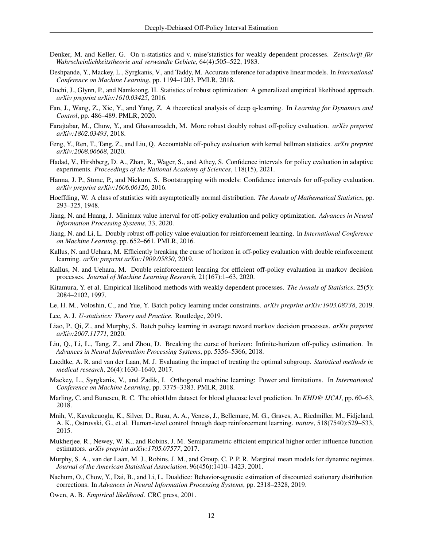- <span id="page-11-25"></span>Denker, M. and Keller, G. On u-statistics and v. mise'statistics for weakly dependent processes. *Zeitschrift für Wahrscheinlichkeitstheorie und verwandte Gebiete*, 64(4):505–522, 1983.
- <span id="page-11-16"></span>Deshpande, Y., Mackey, L., Syrgkanis, V., and Taddy, M. Accurate inference for adaptive linear models. In *International Conference on Machine Learning*, pp. 1194–1203. PMLR, 2018.
- <span id="page-11-14"></span>Duchi, J., Glynn, P., and Namkoong, H. Statistics of robust optimization: A generalized empirical likelihood approach. *arXiv preprint arXiv:1610.03425*, 2016.
- <span id="page-11-21"></span>Fan, J., Wang, Z., Xie, Y., and Yang, Z. A theoretical analysis of deep q-learning. In *Learning for Dynamics and Control*, pp. 486–489. PMLR, 2020.
- <span id="page-11-9"></span>Farajtabar, M., Chow, Y., and Ghavamzadeh, M. More robust doubly robust off-policy evaluation. *arXiv preprint arXiv:1802.03493*, 2018.
- <span id="page-11-4"></span>Feng, Y., Ren, T., Tang, Z., and Liu, Q. Accountable off-policy evaluation with kernel bellman statistics. *arXiv preprint arXiv:2008.06668*, 2020.
- <span id="page-11-17"></span>Hadad, V., Hirshberg, D. A., Zhan, R., Wager, S., and Athey, S. Confidence intervals for policy evaluation in adaptive experiments. *Proceedings of the National Academy of Sciences*, 118(15), 2021.
- <span id="page-11-5"></span>Hanna, J. P., Stone, P., and Niekum, S. Bootstrapping with models: Confidence intervals for off-policy evaluation. *arXiv preprint arXiv:1606.06126*, 2016.
- <span id="page-11-24"></span>Hoeffding, W. A class of statistics with asymptotically normal distribution. *The Annals of Mathematical Statistics*, pp. 293–325, 1948.
- <span id="page-11-11"></span>Jiang, N. and Huang, J. Minimax value interval for off-policy evaluation and policy optimization. *Advances in Neural Information Processing Systems*, 33, 2020.
- <span id="page-11-8"></span>Jiang, N. and Li, L. Doubly robust off-policy value evaluation for reinforcement learning. In *International Conference on Machine Learning*, pp. 652–661. PMLR, 2016.
- <span id="page-11-15"></span>Kallus, N. and Uehara, M. Efficiently breaking the curse of horizon in off-policy evaluation with double reinforcement learning. *arXiv preprint arXiv:1909.05850*, 2019.
- <span id="page-11-10"></span>Kallus, N. and Uehara, M. Double reinforcement learning for efficient off-policy evaluation in markov decision processes. *Journal of Machine Learning Research*, 21(167):1–63, 2020.
- <span id="page-11-13"></span>Kitamura, Y. et al. Empirical likelihood methods with weakly dependent processes. *The Annals of Statistics*, 25(5): 2084–2102, 1997.
- <span id="page-11-3"></span>Le, H. M., Voloshin, C., and Yue, Y. Batch policy learning under constraints. *arXiv preprint arXiv:1903.08738*, 2019.

<span id="page-11-22"></span>Lee, A. J. *U-statistics: Theory and Practice*. Routledge, 2019.

- <span id="page-11-23"></span>Liao, P., Qi, Z., and Murphy, S. Batch policy learning in average reward markov decision processes. *arXiv preprint arXiv:2007.11771*, 2020.
- <span id="page-11-6"></span>Liu, Q., Li, L., Tang, Z., and Zhou, D. Breaking the curse of horizon: Infinite-horizon off-policy estimation. In *Advances in Neural Information Processing Systems*, pp. 5356–5366, 2018.
- <span id="page-11-1"></span>Luedtke, A. R. and van der Laan, M. J. Evaluating the impact of treating the optimal subgroup. *Statistical methods in medical research*, 26(4):1630–1640, 2017.
- <span id="page-11-19"></span>Mackey, L., Syrgkanis, V., and Zadik, I. Orthogonal machine learning: Power and limitations. In *International Conference on Machine Learning*, pp. 3375–3383. PMLR, 2018.
- <span id="page-11-2"></span>Marling, C. and Bunescu, R. C. The ohiot1dm dataset for blood glucose level prediction. In *KHD@ IJCAI*, pp. 60–63, 2018.
- <span id="page-11-20"></span>Mnih, V., Kavukcuoglu, K., Silver, D., Rusu, A. A., Veness, J., Bellemare, M. G., Graves, A., Riedmiller, M., Fidjeland, A. K., Ostrovski, G., et al. Human-level control through deep reinforcement learning. *nature*, 518(7540):529–533, 2015.
- <span id="page-11-18"></span>Mukherjee, R., Newey, W. K., and Robins, J. M. Semiparametric efficient empirical higher order influence function estimators. *arXiv preprint arXiv:1705.07577*, 2017.
- <span id="page-11-0"></span>Murphy, S. A., van der Laan, M. J., Robins, J. M., and Group, C. P. P. R. Marginal mean models for dynamic regimes. *Journal of the American Statistical Association*, 96(456):1410–1423, 2001.
- <span id="page-11-7"></span>Nachum, O., Chow, Y., Dai, B., and Li, L. Dualdice: Behavior-agnostic estimation of discounted stationary distribution corrections. In *Advances in Neural Information Processing Systems*, pp. 2318–2328, 2019.
- <span id="page-11-12"></span>Owen, A. B. *Empirical likelihood*. CRC press, 2001.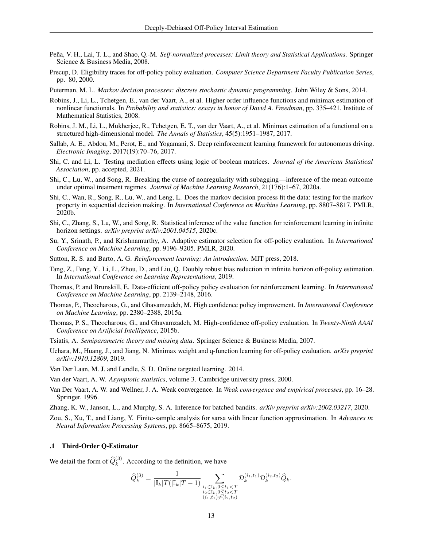- <span id="page-12-22"></span>Peña, V. H., Lai, T. L., and Shao, Q.-M. *Self-normalized processes: Limit theory and Statistical Applications*. Springer Science & Business Media, 2008.
- <span id="page-12-5"></span>Precup, D. Eligibility traces for off-policy policy evaluation. *Computer Science Department Faculty Publication Series*, pp. 80, 2000.
- <span id="page-12-15"></span>Puterman, M. L. *Markov decision processes: discrete stochastic dynamic programming*. John Wiley & Sons, 2014.
- <span id="page-12-13"></span>Robins, J., Li, L., Tchetgen, E., van der Vaart, A., et al. Higher order influence functions and minimax estimation of nonlinear functionals. In *Probability and statistics: essays in honor of David A. Freedman*, pp. 335–421. Institute of Mathematical Statistics, 2008.
- <span id="page-12-14"></span>Robins, J. M., Li, L., Mukherjee, R., Tchetgen, E. T., van der Vaart, A., et al. Minimax estimation of a functional on a structured high-dimensional model. *The Annals of Statistics*, 45(5):1951–1987, 2017.
- <span id="page-12-2"></span>Sallab, A. E., Abdou, M., Perot, E., and Yogamani, S. Deep reinforcement learning framework for autonomous driving. *Electronic Imaging*, 2017(19):70–76, 2017.
- <span id="page-12-17"></span>Shi, C. and Li, L. Testing mediation effects using logic of boolean matrices. *Journal of the American Statistical Association*, pp. accepted, 2021.
- <span id="page-12-1"></span>Shi, C., Lu, W., and Song, R. Breaking the curse of nonregularity with subagging—inference of the mean outcome under optimal treatment regimes. *Journal of Machine Learning Research*, 21(176):1–67, 2020a.
- <span id="page-12-3"></span>Shi, C., Wan, R., Song, R., Lu, W., and Leng, L. Does the markov decision process fit the data: testing for the markov property in sequential decision making. In *International Conference on Machine Learning*, pp. 8807–8817. PMLR, 2020b.
- <span id="page-12-4"></span>Shi, C., Zhang, S., Lu, W., and Song, R. Statistical inference of the value function for reinforcement learning in infinite horizon settings. *arXiv preprint arXiv:2001.04515*, 2020c.
- <span id="page-12-20"></span>Su, Y., Srinath, P., and Krishnamurthy, A. Adaptive estimator selection for off-policy evaluation. In *International Conference on Machine Learning*, pp. 9196–9205. PMLR, 2020.
- <span id="page-12-0"></span>Sutton, R. S. and Barto, A. G. *Reinforcement learning: An introduction*. MIT press, 2018.
- <span id="page-12-8"></span>Tang, Z., Feng, Y., Li, L., Zhou, D., and Liu, Q. Doubly robust bias reduction in infinite horizon off-policy estimation. In *International Conference on Learning Representations*, 2019.
- <span id="page-12-7"></span>Thomas, P. and Brunskill, E. Data-efficient off-policy policy evaluation for reinforcement learning. In *International Conference on Machine Learning*, pp. 2139–2148, 2016.
- <span id="page-12-19"></span>Thomas, P., Theocharous, G., and Ghavamzadeh, M. High confidence policy improvement. In *International Conference on Machine Learning*, pp. 2380–2388, 2015a.
- <span id="page-12-6"></span>Thomas, P. S., Theocharous, G., and Ghavamzadeh, M. High-confidence off-policy evaluation. In *Twenty-Ninth AAAI Conference on Artificial Intelligence*, 2015b.
- <span id="page-12-10"></span>Tsiatis, A. *Semiparametric theory and missing data*. Springer Science & Business Media, 2007.
- <span id="page-12-9"></span>Uehara, M., Huang, J., and Jiang, N. Minimax weight and q-function learning for off-policy evaluation. *arXiv preprint arXiv:1910.12809*, 2019.
- <span id="page-12-11"></span>Van Der Laan, M. J. and Lendle, S. D. Online targeted learning. 2014.

<span id="page-12-16"></span>Van der Vaart, A. W. *Asymptotic statistics*, volume 3. Cambridge university press, 2000.

- <span id="page-12-21"></span>Van Der Vaart, A. W. and Wellner, J. A. Weak convergence. In *Weak convergence and empirical processes*, pp. 16–28. Springer, 1996.
- <span id="page-12-12"></span>Zhang, K. W., Janson, L., and Murphy, S. A. Inference for batched bandits. *arXiv preprint arXiv:2002.03217*, 2020.
- <span id="page-12-18"></span>Zou, S., Xu, T., and Liang, Y. Finite-sample analysis for sarsa with linear function approximation. In *Advances in Neural Information Processing Systems*, pp. 8665–8675, 2019.

## .1 Third-Order Q-Estimator

We detail the form of  $\hat{Q}_k^{(3)}$ . According to the definition, we have

$$
\widehat{Q}_{k}^{(3)} = \frac{1}{|\mathbb{I}_{k}|T(|\mathbb{I}_{k}|T-1)} \sum_{\substack{i_{1} \in \mathbb{I}_{k}, 0 \le t_{1} < T \\ i_{2} \in \mathbb{I}_{k}, 0 \le t_{2} < T \\ (i_{1}, t_{1}) \neq (i_{2}, t_{2})}} \mathcal{D}_{k}^{(i_{1}, t_{1})} \mathcal{D}_{k}^{(i_{2}, t_{2})} \widehat{Q}_{k}.
$$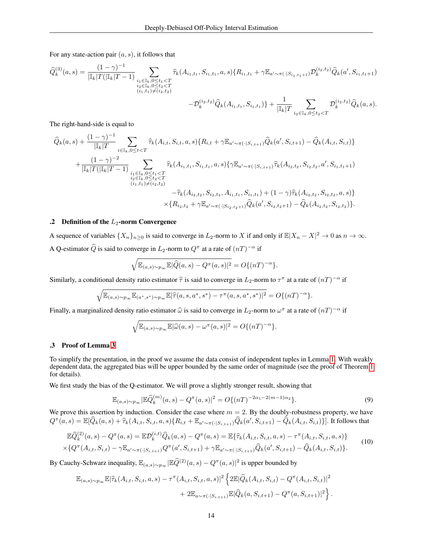For any state-action pair  $(a, s)$ , it follows that

$$
\begin{split} \widehat{Q}_{k}^{(3)}(a,s) &= \frac{(1-\gamma)^{-1}}{|\mathbbm{I}_{k}|T(|\mathbbm{I}_{k}|T-1)} \sum_{\substack{i_{1} \in \mathbbm{I}_{k}, 0 \leq t_{1} < T \\ i_{2} \in \mathbbm{I}_{k}, 0 \leq t_{2} < T \\ (i_{1},t_{1}) \neq (i_{2},t_{2})} } \widehat{\tau}_{k}(A_{i_{1},t_{1}},S_{i_{1},t_{1}},a,s) \{R_{i_{1},t_{1}} + \gamma \mathbbm{E}_{a' \sim \pi(\cdot|S_{i_{1},t_{1}+1})} \mathcal{D}_{k}^{(i_{2},t_{2})} \widehat{Q}_{k}(a',S_{i_{1},t_{1}+1}) \\ &\quad - \mathcal{D}_{k}^{(i_{2},t_{2})} \widehat{Q}_{k}(A_{i_{1},t_{1}},S_{i_{1},t_{1}}) \} + \frac{1}{|\mathbbm{I}_{k}|T} \sum_{i_{2} \in \mathbbm{I}_{k}, 0 \leq t_{2} < T} \mathcal{D}_{k}^{(i_{2},t_{2})} \widehat{Q}_{k}(a,s). \end{split}
$$

The right-hand-side is equal to

$$
\begin{split}\n\widehat{Q}_{k}(a,s) + \frac{(1-\gamma)^{-1}}{|\mathbb{I}_{k}|T} \sum_{i \in \mathbb{I}_{k}, 0 \leq t < T} \widehat{\tau}_{k}(A_{i,t}, S_{i,t}, a, s) \{R_{i,t} + \gamma \mathbb{E}_{a' \sim \pi(\cdot|S_{i,t+1})} \widehat{Q}_{k}(a', S_{i,t+1}) - \widehat{Q}_{k}(A_{i,t}, S_{i,t})\} \\
+ \frac{(1-\gamma)^{-2}}{|\mathbb{I}_{k}|T(|\mathbb{I}_{k}|T-1)} \sum_{\substack{i_{1} \in \mathbb{I}_{k}, 0 \leq t_{1} < T \\ i_{2} \in \mathbb{I}_{k}, 0 \leq t_{2} < T \\ (i_{1}, t_{1}) \neq (i_{2}, t_{2})}} \widehat{\tau}_{k}(A_{i_{1}, t_{1}}, S_{i_{1}, t_{1}}, a, s) \{\gamma \mathbb{E}_{a' \sim \pi(\cdot|S_{i,t+1})} \widehat{\tau}_{k}(A_{i_{2}, t_{2}}, S_{i_{2}, t_{2}}, a', S_{i_{1}, t_{1}+1})\} \\
- \widehat{\tau}_{k}(A_{i_{2}, t_{2}}, S_{i_{2}, t_{2}}, A_{i_{1}, t_{1}}, S_{i_{1}, t_{1}}) + (1-\gamma) \widehat{\tau}_{k}(A_{i_{2}, t_{2}}, S_{i_{2}, t_{2}}, a, s) \} \\
\times \{R_{i_{2}, t_{2}} + \gamma \mathbb{E}_{a' \sim \pi(\cdot|S_{i_{2}, t_{2}+1})} \widehat{Q}_{k}(a', S_{i_{2}, t_{2}+1}) - \widehat{Q}_{k}(A_{i_{2}, t_{2}}, S_{i_{2}, t_{2}})\}.\n\end{split}
$$

## <span id="page-13-0"></span>.2 Definition of the  $L_2$ -norm Convergence

A sequence of variables  $\{X_n\}_{n\geq 0}$  is said to converge in  $L_2$ -norm to X if and only if  $\mathbb{E}|X_n - X|^2 \to 0$  as  $n \to \infty$ . A Q-estimator  $\hat{Q}$  is said to converge in  $L_2$ -norm to  $Q^{\pi}$  at a rate of  $(nT)^{-\alpha}$  if

$$
\sqrt{\mathbb{E}_{(a,s)\sim p_\infty}\mathbb{E}|\widehat{Q}(a,s)-Q^\pi(a,s)|^2}=O\{(nT)^{-\alpha}\}.
$$

Similarly, a conditional density ratio estimator  $\hat{\tau}$  is said to converge in  $L_2$ -norm to  $\tau^{\pi}$  at a rate of  $(nT)^{-\alpha}$  if

$$
\sqrt{\mathbb{E}_{(a,s)\sim p_{\infty}}\mathbb{E}_{(a^*,s^*)\sim p_{\infty}}\mathbb{E}|\hat{\tau}(a,s,a^*,s^*)-\tau^{\pi}(a,s,a^*,s^*)|^2}=O\{(nT)^{-\alpha}\}.
$$

Finally, a marginalized density ratio estimator  $\hat{\omega}$  is said to converge in  $L_2$ -norm to  $\omega^{\pi}$  at a rate of  $(nT)^{-\alpha}$  if

$$
\sqrt{\mathbb{E}_{(a,s)\sim p_{\infty}}}\mathbb{E}|\widehat{\omega}(a,s)-\omega^{\pi}(a,s)|^2=O\{(nT)^{-\alpha}\}.
$$

## .3 Proof of Lemma [3](#page-5-2)

To simplify the presentation, in the proof we assume the data consist of independent tuples in Lemma [1.](#page-4-2) With weakly dependent data, the aggregated bias will be upper bounded by the same order of magnitude (see the proof of Theorem [1](#page-7-0) for details).

We first study the bias of the Q-estimator. We will prove a slightly stronger result, showing that

<span id="page-13-2"></span>
$$
\mathbb{E}_{(a,s)\sim p_{\infty}}|\mathbb{E}\hat{Q}_k^{(m)}(a,s) - Q^{\pi}(a,s)|^2 = O\{(nT)^{-2\alpha_1 - 2(m-1)\alpha_2}\}.
$$
\n(9)

We prove this assertion by induction. Consider the case where  $m = 2$ . By the doubly-robustness property, we have  $Q^{\pi}(a, s) = \mathbb{E}[\widehat{Q}_k(a, s) + \widehat{\tau}_k(A_{i,t}, S_{i,t}, a, s) \{R_{i,t} + \mathbb{E}_{a' \sim \pi(\cdot | S_{i,t+1})} \widehat{Q}_k(a', S_{i,t+1}) - \widehat{Q}_k(A_{i,t}, S_{i,t})\}].$  It follows that

<span id="page-13-1"></span>
$$
\mathbb{E}\widehat{Q}_{k}^{(2)}(a,s) - Q^{\pi}(a,s) = \mathbb{E}\mathcal{D}_{k}^{(i,t)}\widehat{Q}_{k}(a,s) - Q^{\pi}(a,s) = \mathbb{E}\{\widehat{\tau}_{k}(A_{i,t},S_{i,t},a,s) - \tau^{\pi}(A_{i,t},S_{i,t},a,s)\}
$$
  
 
$$
\times \{Q^{\pi}(A_{i,t},S_{i,t}) - \gamma \mathbb{E}_{a' \sim \pi(\cdot|S_{i,t+1})}Q^{\pi}(a',S_{i,t+1}) + \gamma \mathbb{E}_{a' \sim \pi(\cdot|S_{i,t+1})}\widehat{Q}_{k}(a',S_{i,t+1}) - \widehat{Q}_{k}(A_{i,t},S_{i,t})\}.
$$
 (10)

By Cauchy-Schwarz inequality,  $\mathbb{E}_{(a,s)\sim p_\infty}|\mathbb{E}\widehat{Q}^{(2)}(a,s)-Q^\pi(a,s)|^2$  is upper bounded by

$$
\mathbb{E}_{(a,s)\sim p_{\infty}}\mathbb{E}|\widehat{\tau}_{k}(A_{i,t},S_{i,t},a,s)-\tau^{\pi}(A_{i,t},S_{i,t},a,s)|^{2}\left\{2\mathbb{E}|\widehat{Q}_{k}(A_{i,t},S_{i,t})-Q^{\pi}(A_{i,t},S_{i,t})|^{2}\right.\left.+2\mathbb{E}_{a\sim\pi(\cdot|S_{i,t+1})}\mathbb{E}|\widehat{Q}_{k}(a,S_{i,t+1})-Q^{\pi}(a,S_{i,t+1})|^{2}\right\}.
$$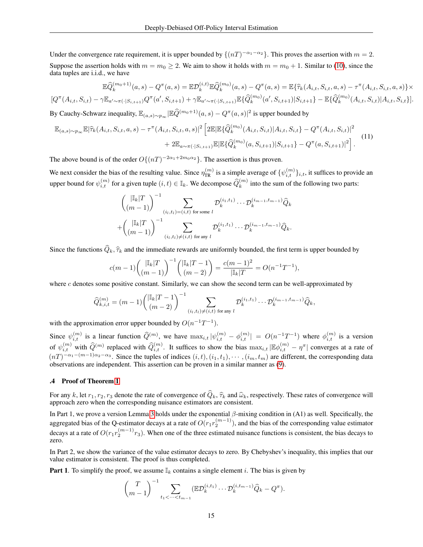Under the convergence rate requirement, it is upper bounded by  $\{(nT)^{-\alpha_1-\alpha_2}\}\.$  This proves the assertion with  $m=2$ . Suppose the assertion holds with  $m = m_0 \ge 2$ . We aim to show it holds with  $m = m_0 + 1$ . Similar to [\(10\)](#page-13-1), since the data tuples are i.i.d., we have

$$
\mathbb{E}\hat{Q}_{k}^{(m_{0}+1)}(a,s) - Q^{\pi}(a,s) = \mathbb{E}\mathcal{D}_{k}^{(i,t)}\mathbb{E}\hat{Q}_{k}^{(m_{0})}(a,s) - Q^{\pi}(a,s) = \mathbb{E}\{\hat{\tau}_{k}(A_{i,t},S_{i,t},a,s) - \tau^{\pi}(A_{i,t},S_{i,t},a,s)\}\times
$$
  

$$
[Q^{\pi}(A_{i,t},S_{i,t}) - \gamma\mathbb{E}_{a'\sim\pi(\cdot|S_{i,t+1})}Q^{\pi}(a',S_{i,t+1}) + \gamma\mathbb{E}_{a'\sim\pi(\cdot|S_{i,t+1})}\mathbb{E}\{\hat{Q}_{k}^{(m_{0})}(a',S_{i,t+1})|S_{i,t+1}\} - \mathbb{E}\{\hat{Q}_{k}^{(m_{0})}(A_{i,t},S_{i,t})|A_{i,t},S_{i,t}\}].
$$

By Cauchy-Schwarz inequality,  $\mathbb{E}_{(a,s)\sim p_\infty}|\mathbb{E}\widehat{Q}^{(m_0+1)}(a,s)-Q^\pi(a,s)|^2$  is upper bounded by

$$
\mathbb{E}_{(a,s)\sim p_{\infty}}\mathbb{E}|\widehat{\tau}_{k}(A_{i,t},S_{i,t},a,s)-\tau^{\pi}(A_{i,t},S_{i,t},a,s)|^{2}\left[2\mathbb{E}|\mathbb{E}\{\widehat{Q}_{k}^{(m_{0})}(A_{i,t},S_{i,t})|A_{i,t},S_{i,t}\}-Q^{\pi}(A_{i,t},S_{i,t})|^{2}\right] + 2\mathbb{E}_{a\sim\pi(\cdot|S_{i,t+1})}\mathbb{E}|\mathbb{E}\{\widehat{Q}_{k}^{(m_{0})}(a,S_{i,t+1})|S_{i,t+1}\}-Q^{\pi}(a,S_{i,t+1})|^{2}\right].
$$
\n(11)

The above bound is of the order  $O\{(nT)^{-2\alpha_1+2m_0\alpha_2}\}\.$  The assertion is thus proven.

We next consider the bias of the resulting value. Since  $\eta_{TR}^{(m)}$  is a simple average of  $\{\psi_{i,t}^{(m)}\}_{i,t}$ , it suffices to provide an upper bound for  $\psi_{i,t}^{(m)}$  for a given tuple  $(i, t) \in I_k$ . We decompose  $\widehat{Q}_k^{(m)}$  into the sum of the following two parts:

$$
\begin{aligned}\n& \binom{|\mathbb{I}_k|T}{(m-1)}^{-1} \sum_{(i_l,t_l)=(i,t) \text{ for some } l} \mathcal{D}_k^{(i_1,t_1)} \cdots \mathcal{D}_k^{(i_{m-1},t_{m-1})} \hat{Q}_k \\
& + \binom{|\mathbb{I}_k|T}{(m-1)}^{-1} \sum_{(i_l,t_l)\neq (i,t) \text{ for any } l} \mathcal{D}_k^{(i_1,t_1)} \cdots \mathcal{D}_k^{(i_{m-1},t_{m-1})} \hat{Q}_k.\n\end{aligned}
$$

Since the functions  $\widehat{Q}_k$ ,  $\widehat{\tau}_k$  and the immediate rewards are uniformly bounded, the first term is upper bounded by

$$
c(m-1)\binom{|\mathbb{I}_k|T}{(m-1)}^{-1}\binom{|\mathbb{I}_k|T-1}{(m-2)} = \frac{c(m-1)^2}{|\mathbb{I}_k|T} = O(n^{-1}T^{-1}),
$$

where c denotes some positive constant. Similarly, we can show the second term can be well-approximated by

$$
\widehat{Q}_{k,i,t}^{(m)} = (m-1) \binom{|\mathbb{I}_k|T-1}{(m-2)}^{-1} \sum_{(i_l,t_l)\neq (i,t)} \mathcal{D}_k^{(i_1,t_1)} \cdots \mathcal{D}_k^{(i_{m-1},t_{m-1})} \widehat{Q}_k,
$$

with the approximation error upper bounded by  $O(n^{-1}T^{-1})$ .

Since  $\psi_{i,t}^{(m)}$  is a linear function  $\widehat{Q}^{(m)}$ , we have  $\max_{i,t} |\psi_{i,t}^{(m)} - \phi_{i,t}^{(m)}| = O(n^{-1}T^{-1})$  where  $\phi_{i,t}^{(m)}$  is a version of  $\psi_{i,t}^{(m)}$  with  $\widehat{Q}^{(m)}$  replaced with  $\widehat{Q}_{i,t}^{(m)}$ . It suffices to show the bias  $\max_{i,t} |\mathbb{E}\phi_{i,t}^{(m)} - \eta^{\pi}|$  converges at a rate of  $(nT)^{-\alpha_1-(m-1)\alpha_2-\alpha_3}$ . Since the tuples of indices  $(i, t), (i_1, t_1), \cdots, (i_m, t_m)$  are different, the corresponding data observations are independent. This assertion can be proven in a similar manner as [\(9\)](#page-13-2).

#### .4 Proof of Theorem [1](#page-7-0)

For any k, let  $r_1, r_2, r_3$  denote the rate of convergence of  $\hat{Q}_k$ ,  $\hat{\tau}_k$  and  $\hat{\omega}_k$ , respectively. These rates of convergence will approach zero when the corresponding nuisance estimators are consistent.

In Part 1, we prove a version Lemma [3](#page-5-2) holds under the exponential  $\beta$ -mixing condition in (A1) as well. Specifically, the aggregated bias of the Q-estimator decays at a rate of  $O(r_1r_2^{(m-1)})$ , and the bias of the corresponding value estimator decays at a rate of  $O(r_1r_2^{(m-1)}r_3)$ . When one of the three estimated nuisance functions is consistent, the bias decays to zero.

In Part 2, we show the variance of the value estimator decays to zero. By Chebyshev's inequality, this implies that our value estimator is consistent. The proof is thus completed.

**Part 1.** To simplify the proof, we assume  $\mathbb{I}_k$  contains a single element i. The bias is given by

$$
\binom{T}{m-1}^{-1} \sum_{t_1 < \cdots < t_{m-1}} (\mathbb{E} \mathcal{D}_k^{(i,t_1)} \cdots \mathcal{D}_k^{(i,t_{m-1})} \widehat{Q}_k - Q^{\pi}).
$$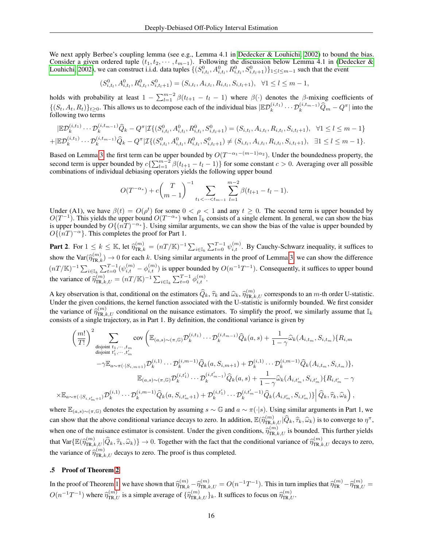We next apply Berbee's coupling lemma (see e.g., Lemma 4.1 in [Dedecker & Louhichi, 2002\)](#page-10-10) to bound the bias. Consider a given ordered tuple  $(t_1, t_2, \dots, t_{m-1})$ . Following the discussion below Lemma 4.1 in [\(Dedecker &](#page-10-10) [Louhichi, 2002\)](#page-10-10), we can construct i.i.d. data tuples  $\{(S^0_{i,t_l}, A^0_{i,t_l}, R^0_{i,t_l}, S^0_{i,t_l+1})\}_{1\leq l\leq m-1}$  such that the event

$$
(S_{i,t_l}^0, A_{i,t_l}^0, R_{i,t_l}^0, S_{i,t_l+1}^0) = (S_{i,t_l}, A_{i,t_l}, R_{i,t_l}, S_{i,t_l+1}), \ \forall 1 \leq l \leq m-1,
$$

holds with probability at least  $1 - \sum_{l=1}^{m-2} \beta(t_{l+1} - t_l - 1)$  where  $\beta(\cdot)$  denotes the  $\beta$ -mixing coefficients of  $\{(S_t, A_t, R_t)\}_{t\geq 0}$ . This allows us to decompose each of the individual bias  $\mathbb{E}\mathcal{D}_k^{(i,t_1)}\cdots \mathcal{D}_k^{(i,t_{m-1})}\widehat{Q}_m - Q^{\pi}$  into the following two terms

$$
|\mathbb{E}\mathcal{D}_{k}^{(i,t_{1})}\cdots\mathcal{D}_{k}^{(i,t_{m-1})}\hat{Q}_{k} - Q^{\pi}|\mathcal{I}\{(S_{i,t_{l}}^{0},A_{i,t_{l}}^{0},R_{i,t_{l}}^{0},S_{i,t_{l}+1}^{0}) = (S_{i,t_{l}},A_{i,t_{l}},R_{i,t_{l}},S_{i,t_{l}+1}^{0}), \forall 1 \leq l \leq m-1\}
$$
  
+
$$
|\mathbb{E}\mathcal{D}_{k}^{(i,t_{1})}\cdots\mathcal{D}_{k}^{(i,t_{m-1})}\hat{Q}_{k} - Q^{\pi}|\mathcal{I}\{(S_{i,t_{l}}^{0},A_{i,t_{l}}^{0},R_{i,t_{l}}^{0},S_{i,t_{l}+1}^{0}) \neq (S_{i,t_{l}},A_{i,t_{l}},R_{i,t_{l}},S_{i,t_{l}+1}), \exists 1 \leq l \leq m-1\}.
$$

Based on Lemma [3,](#page-5-2) the first term can be upper bounded by  $O(T^{-\alpha_1-(m-1)\alpha_2})$ . Under the boundedness property, the second term is upper bounded by  $c\{\sum_{l=1}^{m-2}\beta(t_{l+1}-t_l-1)\}$  for some constant  $c>0$ . Averaging over all possible combinations of individual debiasing operators yields the following upper bound

$$
O(T^{-\alpha_{*}}) + c \binom{T}{m-1}^{-1} \sum_{t_1 < \dots < t_{m-1}} \sum_{l=1}^{m-2} \beta(t_{l+1} - t_l - 1).
$$

Under (A1), we have  $\beta(t) = O(\rho^t)$  for some  $0 < \rho < 1$  and any  $t \ge 0$ . The second term is upper bounded by  $O(T^{-1})$ . This yields the upper bound  $O(T^{-\alpha_*})$  when  $\mathbb{I}_k$  consists of a single element. In general, we can show the bias is upper bounded by  $O\{(n\hat{T})^{-\alpha_*}\}\.$  Using similar arguments, we can show the bias of the value is upper bounded by  $O\{\overline{(nT)}^{-\alpha}\}\$ . This completes the proof for Part 1.

**Part 2.** For  $1 \le k \le \mathbb{K}$ , let  $\widehat{\eta}_{\text{TR},k}^{(m)} = (n/\mathbb{K})^{-1} \sum_{i \in \mathbb{I}_k} \sum_{t=0}^{T-1} \psi_{i,t}^{(m)}$ . By Cauchy-Schwarz inequality, it suffices to show the Var $(\widehat{\eta}_{\text{TR},k}^{(m)}) \to 0$  for each k. Using similar arguments in the proof of Lemma [3,](#page-5-2) we can show the difference  $(nT/\mathbb{K})^{-1}\sum_{i\in\mathbb{I}_k}\sum_{t=0}^{T-1}(\psi_{i,t}^{(m)}-\phi_{i,t}^{(m)})$  is upper bounded by  $O(n^{-1}T^{-1})$ . Consequently, it suffices to upper bound the variance of  $\widehat{\eta}_{\text{TR},k,U}^{(m)} = (nT/\mathbb{K})^{-1} \sum_{i \in \mathbb{I}_k} \sum_{t=0}^{T-1} \phi_{i,t}^{(m)}$ .

A key observation is that, conditional on the estimators  $\hat{Q}_k$ ,  $\hat{\tau}_k$  and  $\hat{\omega}_k$ ,  $\hat{\eta}_{\text{TR},U}^{(m)}$  corresponds to an m-th order U-statistic.<br>Under the given conditions, the kernal function associated with the U Under the given conditions, the kernel function associated with the U-statistic is uniformly bounded. We first consider the variance of  $\hat{\eta}_{\text{TR},k,U}^{(m)}$  conditional on the nuisance estimators. To simplify the proof, we similarly assume that  $\mathbb{I}_k$ <br>consists of a single trajectory as in Part 1. By definition the conditional variance is consists of a single trajectory, as in Part 1. By definition, the conditional variance is given by

$$
\left(\frac{m!}{T!}\right)^{2} \sum_{\substack{\text{disjoint }t_{1},\dots,t_{m}\\ \text{disjoint }t'_{1},\dots,t'_{m}\\ }} \text{cov}\left(\mathbb{E}_{(a,s)\sim(\pi,\mathbb{G})}\mathcal{D}_{k}^{(i,t_{1})}\dots\mathcal{D}_{k}^{(i,t_{m-1})}\hat{Q}_{k}(a,s)+\frac{1}{1-\gamma}\hat{\omega}_{k}(A_{i,t_{m}},S_{i,t_{m}})\{R_{i,m}\} - \gamma\mathbb{E}_{a\sim\pi(\cdot|S_{i,m+1})}\mathcal{D}_{k}^{(i,1)}\dots\mathcal{D}_{k}^{(i,m-1)}\hat{Q}_{k}(a,S_{i,m+1})+\mathcal{D}_{k}^{(i,1)}\dots\mathcal{D}_{k}^{(i,m-1)}\hat{Q}_{k}(A_{i,t_{m}},S_{i,t_{m}})\},
$$
  

$$
\mathbb{E}_{(a,s)\sim(\pi,\mathbb{G})}\mathcal{D}_{k}^{(i,t'_{1})}\dots\mathcal{D}_{k}^{(i,t'_{m-1})}\hat{Q}_{k}(a,s)+\frac{1}{1-\gamma}\hat{\omega}_{k}(A_{i,t'_{m}},S_{i,t'_{m}})\{R_{i,t'_{m}}-\gamma
$$
  

$$
\times\mathbb{E}_{a\sim\pi(\cdot|S_{i,t'_{m}+1})}\mathcal{D}_{k}^{(i,1)}\dots\mathcal{D}_{k}^{(i,m-1)}\hat{Q}_{k}(a,S_{i,t'_{m}+1})+\mathcal{D}_{k}^{(i,t'_{1})}\dots\mathcal{D}_{k}^{(i,t'_{m}-1)}\hat{Q}_{k}(A_{i,t'_{m}},S_{i,t'_{m}})\}\Big|\hat{Q}_{k},\hat{\tau}_{k},\hat{\omega}_{k}\Big),
$$

where  $\mathbb{E}_{(a,s)\sim(\pi,\mathbb{G})}$  denotes the expectation by assuming  $s\sim\mathbb{G}$  and  $a\sim\pi(\cdot|s)$ . Using similar arguments in Part 1, we can show that the above conditional variance decays to zero. In addition,  $\mathbb{E}(\widehat{\eta}_{\text{TR},k,U}^{(m)}|\widehat{Q}_k,\widehat{\tau}_k,\widehat{\omega}_k)$  is to converge to  $\eta^{\pi}$ , when one of the nuisance estimator is consistent. Under the given conditions,  $\hat{\eta}_{\text{TR},k,U}^{(m)}$  is bounded. This further yields that  $\text{Var}\{\mathbb{E}(\widehat{\eta}_{\text{TR},k,U}^{(m)}|\widehat{Q}_k,\widehat{\tau}_k,\widehat{\omega}_k)\}\rightarrow 0$ . Together with the fact that the conditional variance of  $\widehat{\eta}_{\text{TR},k,U}^{(m)}$  decays to zero, the variance of  $\hat{\eta}_{\text{TR},k,U}^{(m)}$  decays to zero. The proof is thus completed.

### .5 Proof of Theorem [2](#page-7-1)

In the proof of Theorem [1,](#page-7-0) we have shown that  $\hat{\eta}_{\text{TR},k}^{(m)} - \hat{\eta}_{\text{TR},k,U}^{(m)} = O(n^{-1}T^{-1})$ . This in turn implies that  $\hat{\eta}_{\text{TR}}^{(m)} - \hat{\eta}_{\text{TR},U}^{(m)} = O(n^{-1}T^{-1})$ .  $O(n^{-1}T^{-1})$  where  $\widehat{\eta}_{\text{TR},U}^{(m)}$  is a simple average of  $\{\widehat{\eta}_{\text{TR},k,U}^{(m)}\}_k$ . It suffices to focus on  $\widehat{\eta}_{\text{TR},U}^{(m)}$ .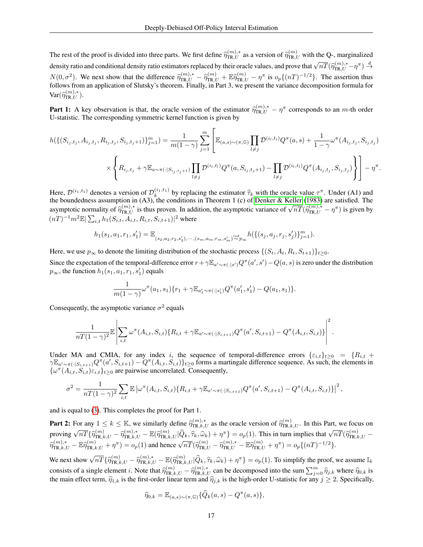The rest of the proof is divided into three parts. We first define  $\hat{\eta}_{\text{TR},U}^{(m),*}$  as a version of  $\hat{\eta}_{\text{TR},U}^{(m)}$  with the Q-, marginalized density ratio and conditional density ratio estimators replaced by their oracle values, and prove that  $\sqrt{nT}(\hat{\eta}_{\text{TR},U}^{(m),*} - \eta^{\pi}) \stackrel{d}{\rightarrow}$  $N(0, \sigma^2)$ . We next show that the difference  $\hat{\eta}_{TR,U}^{(m),*} - \hat{\eta}_{TR,U}^{(m)} + \mathbb{E} \hat{\eta}_{TR,U}^{(m)} - \eta^{\pi}$  is  $o_p\{(nT)^{-1/2}\}\)$ . The assertion thus follows from an application of Sluteky's theorem. Finally, in Part 3, we presen follows from an application of Slutsky's theorem. Finally, in Part 3, we present the variance decomposition formula for  $\text{Var}(\widehat{\eta}_{\text{TR},U}^{(m),*}).$ 

**Part 1:** A key observation is that, the oracle version of the estimator  $\hat{\eta}_{\text{TR},U}^{(m),*} - \eta^{\pi}$  corresponds to an m-th order II statistic. The corresponding symmetric kernal function is given by U-statistic. The corresponding symmetric kernel function is given by

$$
h(\{(S_{i_j,t_j}, A_{i_j,t_j}, R_{i_j,t_j}, S_{i_j,t_j+1})\}_{j=1}^m) = \frac{1}{m(1-\gamma)} \sum_{j=1}^m \left[ \mathbb{E}_{(a,s)\sim(\pi,\mathbb{G})} \prod_{l\neq j} \mathcal{D}^{(i_l,t_l)} Q^{\pi}(a,s) + \frac{1}{1-\gamma} \omega^{\pi}(A_{i_j,t_j}, S_{i_j,t_j}) \right]
$$

$$
\times \left\{ R_{i_j,t_j} + \gamma \mathbb{E}_{a\sim\pi(\cdot|S_{i_j,t_j+1})} \prod_{l\neq j} \mathcal{D}^{(i_l,t_l)} Q^{\pi}(a, S_{i_j,t_j+1}) - \prod_{l\neq j} \mathcal{D}^{(i_l,t_l)} Q^{\pi}(A_{i_j,t_j}, S_{i_j,t_j}) \right\} \right] - \eta^{\pi}.
$$

Here,  $\mathcal{D}^{(i_1,t_1)}$  denotes a version of  $\mathcal{D}_k^{(i_1,t_1)}$  by replacing the estimator  $\hat{\tau}_k$  with the oracle value  $\tau^{\pi}$ . Under (A1) and Here,  $\mathcal{D}^{(i_1, t_1)}$  denotes a version of  $\mathcal{D}_k^{(i_1, t_1)}$  by replacing the estimator  $\hat{\tau}_k$  with the oracle value  $\tau^{\pi}$ . Under (A1) and the boundedness assumption in (A3), the conditions in Theorem 1 (c) of D asymptotic normality of  $\hat{\eta}_{TR,U}^{(m),*}$  is thus proven. In addition, the asymptotic variance of  $\sqrt{nT}(\hat{\eta}_{TR,U}^{(m),*} - \eta^{\pi})$  is given by<br>( $\pi T$ ) =  $\frac{1}{nT}$   $\sum_{i=1}^n k_i (S_i - A_i - B_i - S_i)$  =  $\frac{1}{nT}$  $(nT)^{-1}m^2\mathbb{E}|\sum_{i,t} h_1(S_{i,t}, A_{i,t}, R_{i,t}, S_{i,t+1})|^2$  where

$$
h_1(s_1, a_1, r_1, s'_1) = \mathbb{E}_{(s_2, a_2, r_2, s'_2), \cdots, (s_m, a_m, r_m, s'_m)} \mu(\{(s_j, a_j, r_j, s'_j)\}_{j=1}^m).
$$

Here, we use  $p_{\infty}$  to denote the limiting distribution of the stochastic process  $\{(S_t, A_t, R_t, S_{t+1})\}_{t>0}$ . Since the expectation of the temporal-difference error  $r + \gamma \mathbb{E}_{a'\sim \pi(\cdot|s')}Q^\pi(a',s') - Q(a,s)$  is zero under the distribution  $p_{\infty}$ , the function  $h_1(s_1, a_1, r_1, s_1')$  equals

$$
\frac{1}{m(1-\gamma)}\omega^{\pi}(a_1,s_1)\{r_1+\gamma \mathbb{E}_{a'_1\sim \pi(\cdot|s'_1)}Q^{\pi}(a'_1,s'_1)-Q(a_1,s_1)\}.
$$

Consequently, the asymptotic variance  $\sigma^2$  equals

$$
\frac{1}{nT(1-\gamma)^2}\mathbb{E}\left[\sum_{i,t}\omega^{\pi}(A_{i,t},S_{i,t})\{R_{i,t}+\gamma\mathbb{E}_{a'\sim\pi(\cdot|S_{i,t+1})}Q^{\pi}(a',S_{i,t+1})-Q^{\pi}(A_{i,t},S_{i,t})\}\right]^2.
$$

Under MA and CMIA, for any index i, the sequence of temporal-difference errors  $\{\varepsilon_{i,t}\}_{t>0} = \{R_{i,t} + R_{i,t}\}_{t>0}$  $\gamma \mathbb{E}_{a' \sim \pi(\cdot | S_{i,t+1})} Q^{\pi}(a', S_{i,t+1}) - Q^{\pi}(A_{i,t}, S_{i,t})\}_{t \geq 0}$  forms a martingale difference sequence. As such, the elements in  $\{\omega^{\pi}(A_{i,t}, S_{i,t})\varepsilon_{i,t}\}_{t\geq 0}$  are pairwise uncorrelated. Consequently,

$$
\sigma^2 = \frac{1}{nT(1-\gamma)^2} \sum_{i,t} \mathbb{E} \left[ \omega^{\pi}(A_{i,t}, S_{i,t}) \{ R_{i,t} + \gamma \mathbb{E}_{a' \sim \pi(\cdot | S_{i,t+1})} Q^{\pi}(a', S_{i,t+1}) - Q^{\pi}(A_{i,t}, S_{i,t}) \} \right]^2,
$$

and is equal to [\(3\)](#page-2-1). This completes the proof for Part 1.

**Part 2:** For any  $1 \le k \le \mathbb{K}$ , we similarly define  $\widehat{\eta}_{\text{TR},k,U}^{(m),*}$  as the oracle version of  $\widehat{\eta}_{\text{TR},k,U}^{(m)}$ . In this Part, we focus on proving  $\sqrt{nT} \{ \hat{\eta}_{\text{TR},k,U}^{(m)} - \hat{\eta}_{\text{TR},k,U}^{(m)}, \dots, \hat{\eta}_{\text{TR},k,U}^{(m)} | \hat{Q}_k, \hat{\tau}_k, \hat{\omega}_k \} + \eta^{\pi} \} = o_p(1)$ . This in turn implies that  $\sqrt{nT} \{ \hat{\eta}_{\text{TR},k,U}^{(m)} - \hat{\eta}_{\text{TR},k,U}^{(m)}, \dots, \hat{\eta}_{\text{TR},k,U}^{(m)} | \hat{Q}_k, \hat{\tau}_k, \hat{\omega}_$  $\hat{\eta}_{\text{TR},k,U}^{(m),*} = \mathbb{E} \hat{\eta}_{\text{TR},k,U}^{(m)} + \eta^{\pi} = o_p(1)$  and hence  $\sqrt{nT} (\hat{\eta}_{\text{TR},U}^{(m)} - \hat{\eta}_{\text{TR},U}^{(m)}, \mathbb{E} \hat{\eta}_{\text{TR},U}^{(m)} + \eta^{\pi}) = o_p\{(nT)^{-1/2}\}.$ 

We next show  $\sqrt{nT} \{ \hat{\eta}_{\text{TR},k,U}^{(m)} - \hat{\eta}_{\text{TR},k,U}^{(m),*} - \mathbb{E}(\hat{\eta}_{\text{TR},k,U}^{(m)} | \hat{Q}_k, \hat{\tau}_k, \hat{\omega}_k) + \eta^{\pi} \} = o_p(1)$ . To simplify the proof, we assume  $\mathbb{I}_k$ consists of a single element i. Note that  $\hat{\eta}_{m,k,U}^{(m)} - \hat{\eta}_{m,k,U}^{(m),*}$  can be decomposed into the sum  $\sum_{j=0}^{m} \hat{\eta}_{j,k}$  where  $\hat{\eta}_{0,k}$  is the main effect term  $\hat{\mathcal{R}}$ , is the first ender linear term and  $\hat{\mathcal{$ the main effect term,  $\hat{\eta}_{1,k}$  is the first-order linear term and  $\hat{\eta}_{j,k}$  is the high-order U-statistic for any  $j \geq 2$ . Specifically,

$$
\widehat{\eta}_{0,k} = \mathbb{E}_{(a,s)\sim(\pi,\mathbb{G})} \{\widehat{Q}_k(a,s) - Q^\pi(a,s)\},\
$$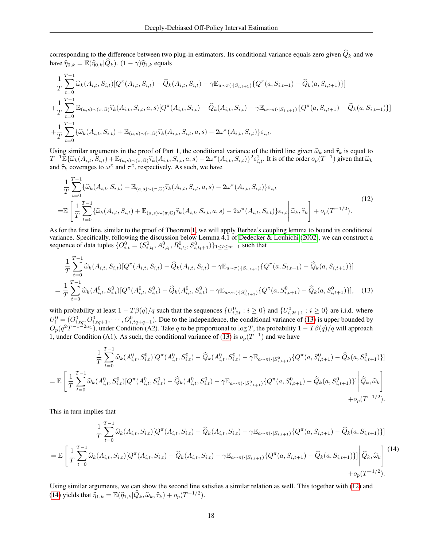corresponding to the difference between two plug-in estimators. Its conditional variance equals zero given  $\hat{Q}_k$  and we have  $\hat{\eta}_{0,k} = \mathbb{E}(\hat{\eta}_{0,k}|\hat{Q}_k)$ .  $(1 - \gamma)\hat{\eta}_{1,k}$  equals

$$
\frac{1}{T} \sum_{t=0}^{T-1} \hat{\omega}_{k}(A_{i,t}, S_{i,t}) [Q^{\pi}(A_{i,t}, S_{i,t}) - \hat{Q}_{k}(A_{i,t}, S_{i,t}) - \gamma \mathbb{E}_{a \sim \pi(\cdot | S_{i,t+1})} \{Q^{\pi}(a, S_{i,t+1}) - \hat{Q}_{k}(a, S_{i,t+1})\}] \n+ \frac{1}{T} \sum_{t=0}^{T-1} \mathbb{E}_{(a,s) \sim (\pi,\mathbb{G})} \hat{\tau}_{k}(A_{i,t}, S_{i,t}, a, s) [Q^{\pi}(A_{i,t}, S_{i,t}) - \hat{Q}_{k}(A_{i,t}, S_{i,t}) - \gamma \mathbb{E}_{a \sim \pi(\cdot | S_{i,t+1})} \{Q^{\pi}(a, S_{i,t+1}) - \hat{Q}_{k}(a, S_{i,t+1})\}] \n+ \frac{1}{T} \sum_{t=0}^{T-1} \{ \hat{\omega}_{k}(A_{i,t}, S_{i,t}) + \mathbb{E}_{(a,s) \sim (\pi,\mathbb{G})} \hat{\tau}_{k}(A_{i,t}, S_{i,t}, a, s) - 2\omega^{\pi}(A_{i,t}, S_{i,t}) \} \varepsilon_{i,t}.
$$

Using similar arguments in the proof of Part 1, the conditional variance of the third line given  $\hat{\omega}_k$  and  $\hat{\tau}_k$  is equal to  $T^{-1} \mathbb{E} \{ \widehat{\omega}_k(A_{i,t}, \widetilde{S}_{i,t}) + \mathbb{E}_{(a,s) \sim (\pi, \mathbb{G})} \widehat{\tau}_k(A_{i,t}, S_{i,t}, a, s) - 2\omega^\pi(A_{i,t}, S_{i,t}) \}^2 \varepsilon_{i,t}^2$ . It is of the order  $o_p(T^{-1})$  given that  $\widehat{\omega}_k$ and  $\hat{\tau}_k$  coverages to  $\omega^{\pi}$  and  $\tau^{\pi}$ , respectively. As such, we have

<span id="page-17-1"></span>
$$
\frac{1}{T} \sum_{t=0}^{T-1} \{ \widehat{\omega}_{k}(A_{i,t}, S_{i,t}) + \mathbb{E}_{(a,s) \sim (\pi,\mathbb{G})} \widehat{\tau}_{k}(A_{i,t}, S_{i,t}, a, s) - 2\omega^{\pi}(A_{i,t}, S_{i,t}) \} \varepsilon_{i,t} \n= \mathbb{E} \left[ \frac{1}{T} \sum_{t=0}^{T-1} \{ \widehat{\omega}_{k}(A_{i,t}, S_{i,t}) + \mathbb{E}_{(a,s) \sim (\pi,\mathbb{G})} \widehat{\tau}_{k}(A_{i,t}, S_{i,t}, a, s) - 2\omega^{\pi}(A_{i,t}, S_{i,t}) \} \varepsilon_{i,t} \, \middle| \, \widehat{\omega}_{k}, \widehat{\tau}_{k} \right] + o_{p}(T^{-1/2}).
$$
\n(12)

As for the first line, similar to the proof of Theorem [1,](#page-7-0) we will apply Berbee's coupling lemma to bound its conditional variance. Specifically, following the discussion below Lemma 4.1 of [Dedecker & Louhichi](#page-10-10) [\(2002\)](#page-10-10), we can construct a sequence of data tuples  $\{O_{i,t}^0 = (S_{i,t_l}^0, A_{i,t_l}^0, R_{i,t_l}^0, S_{i,t_l+1}^0)\}_{1\leq l\leq m-1}$  such that

<span id="page-17-0"></span>
$$
\frac{1}{T} \sum_{t=0}^{T-1} \widehat{\omega}_k(A_{i,t}, S_{i,t}) [Q^\pi(A_{i,t}, S_{i,t}) - \widehat{Q}_k(A_{i,t}, S_{i,t}) - \gamma \mathbb{E}_{a \sim \pi(\cdot | S_{i,t+1})} \{Q^\pi(a, S_{i,t+1}) - \widehat{Q}_k(a, S_{i,t+1})\}]
$$
\n
$$
= \frac{1}{T} \sum_{t=0}^{T-1} \widehat{\omega}_k(A_{i,t}^0, S_{i,t}^0) [Q^\pi(A_{i,t}^0, S_{i,t}^0) - \widehat{Q}_k(A_{i,t}^0, S_{i,t}^0) - \gamma \mathbb{E}_{a \sim \pi(\cdot | S_{i,t+1}^0)} \{Q^\pi(a, S_{i,t+1}^0) - \widehat{Q}_k(a, S_{i,t+1}^0)\}], \quad (13)
$$

with probability at least  $1 - T\beta(q)/q$  such that the sequences  $\{U_{i,2t}^0 : i \ge 0\}$  and  $\{U_{i,2t+1}^0 : i \ge 0\}$  are i.i.d. where  $U_i^0 = (O_{i,tq}^0, O_{i,tq+1}^0, \cdots, O_{i,tq+q-1}^0)$ . Due to the independence, the conditional variance of [\(13\)](#page-17-0) is upper bounded by  $O_p(q^2T^{-1-2\alpha_1})$ , under Condition (A2). Take q to be proportional to  $\log T$ , the probability  $1-T\beta(q)/q$  will approach 1, under Condition (A1). As such, the conditional variance of [\(13\)](#page-17-0) is  $o_p(T^{-1})$  and we have

$$
\frac{1}{T} \sum_{t=0}^{T-1} \widehat{\omega}_{k}(A_{i,t}^{0}, S_{i,t}^{0}) [Q^{\pi}(A_{i,t}^{0}, S_{i,t}^{0}) - \widehat{Q}_{k}(A_{i,t}^{0}, S_{i,t}^{0}) - \gamma \mathbb{E}_{a \sim \pi(\cdot | S_{i,t+1}^{0})} \{Q^{\pi}(a, S_{i,t+1}^{0}) - \widehat{Q}_{k}(a, S_{i,t+1}^{0})\}]
$$
\n
$$
= \mathbb{E} \left[ \frac{1}{T} \sum_{t=0}^{T-1} \widehat{\omega}_{k}(A_{i,t}^{0}, S_{i,t}^{0}) [Q^{\pi}(A_{i,t}^{0}, S_{i,t}^{0}) - \widehat{Q}_{k}(A_{i,t}^{0}, S_{i,t}^{0}) - \gamma \mathbb{E}_{a \sim \pi(\cdot | S_{i,t+1}^{0})} \{Q^{\pi}(a, S_{i,t+1}^{0}) - \widehat{Q}_{k}(a, S_{i,t+1}^{0})\}] \right| \widehat{Q}_{k}, \widehat{\omega}_{k} \right] + o_{p}(T^{-1/2}).
$$

This in turn implies that

<span id="page-17-2"></span>
$$
\frac{1}{T} \sum_{t=0}^{T-1} \widehat{\omega}_k(A_{i,t}, S_{i,t}) [Q^\pi(A_{i,t}, S_{i,t}) - \widehat{Q}_k(A_{i,t}, S_{i,t}) - \gamma \mathbb{E}_{a \sim \pi(\cdot|S_{i,t+1})} \{Q^\pi(a, S_{i,t+1}) - \widehat{Q}_k(a, S_{i,t+1})\}]
$$
\n
$$
= \mathbb{E} \left[ \frac{1}{T} \sum_{t=0}^{T-1} \widehat{\omega}_k(A_{i,t}, S_{i,t}) [Q^\pi(A_{i,t}, S_{i,t}) - \widehat{Q}_k(A_{i,t}, S_{i,t}) - \gamma \mathbb{E}_{a \sim \pi(\cdot|S_{i,t+1})} \{Q^\pi(a, S_{i,t+1}) - \widehat{Q}_k(a, S_{i,t+1})\}] \Big| \widehat{Q}_k, \widehat{\omega}_k \right]^{(14)}
$$
\n
$$
+ o_p(T^{-1/2}).
$$

Using similar arguments, we can show the second line satisfies a similar relation as well. This together with [\(12\)](#page-17-1) and [\(14\)](#page-17-2) yields that  $\widehat{\eta}_{1,k} = \mathbb{E}(\widehat{\eta}_{1,k}|\widehat{Q}_k, \widehat{\omega}_k, \widehat{\tau}_k) + o_p(T^{-1/2}).$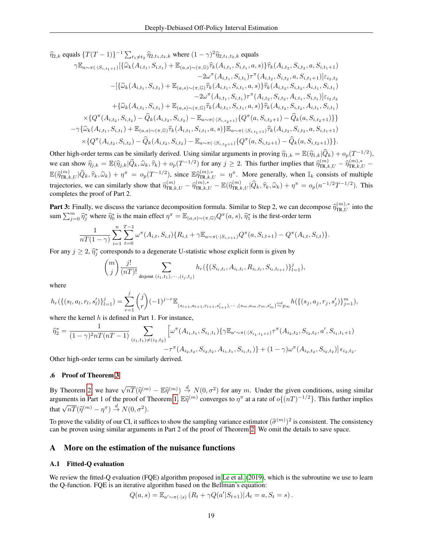$\hat{\eta}_{2,k}$  equals  $\{T(T-1)\}^{-1} \sum_{t_1 \neq t_2} \hat{\eta}_{2,t_1,t_2,k}$  where  $(1 - \gamma)^2 \hat{\eta}_{2,t_1,t_2,k}$  equals

$$
\gamma \mathbb{E}_{a \sim \pi(\cdot|S_{i,t_1+1})} [\{\widehat{\omega}_k(A_{i,t_1}, S_{i,t_1}) + \mathbb{E}_{(a,s) \sim (\pi,\mathbb{G})} \widehat{\tau}_k(A_{i,t_1}, S_{i,t_1}, a, s) \} \widehat{\tau}_k(A_{i,t_2}, S_{i,t_2}, a, S_{i,t_1+1})
$$
  
\n
$$
-2\omega^{\pi}(A_{i,t_1}, S_{i,t_1}) \tau^{\pi}(A_{i,t_2}, S_{i,t_2}, a, S_{i,t_1+1})] \varepsilon_{i_2,t_2}
$$
  
\n
$$
- [\{\widehat{\omega}_k(A_{i,t_1}, S_{i,t_1}) + \mathbb{E}_{(a,s) \sim (\pi,\mathbb{G})} \widehat{\tau}_k(A_{i,t_1}, S_{i,t_1}, a, s) \} \widehat{\tau}_k(A_{i,t_2}, S_{i,t_2}, A_{i,t_1}, S_{i,t_1})
$$
  
\n
$$
-2\omega^{\pi}(A_{i,t_1}, S_{i,t_1}) \tau^{\pi}(A_{i,t_2}, S_{i,t_2}, A_{i,t_1}, S_{i,t_1})
$$
  
\n
$$
+ \{\widehat{\omega}_k(A_{i,t_1}, S_{i,t_1}) + \mathbb{E}_{(a,s) \sim (\pi,\mathbb{G})} \widehat{\tau}_k(A_{i,t_1}, S_{i,t_1}, a, s) \} \widehat{\tau}_k(A_{i,t_2}, S_{i,t_2}, A_{i,t_1}, S_{i,t_1})
$$
  
\n
$$
\times \{Q^{\pi}(A_{i,t_2}, S_{i,t_2}) - \widehat{Q}_k(A_{i,t_2}, S_{i,t_2}) - \mathbb{E}_{a \sim \pi(\cdot|S_{i,t_2+1})} \{Q^{\pi}(a, S_{i,t_2+1}) - \widehat{Q}_k(a, S_{i,t_2+1})\} \}
$$
  
\n
$$
- \gamma \{\widehat{\omega}_k(A_{i,t_1}, S_{i,t_1}) + \mathbb{E}_{(a,s) \sim (\pi,\mathbb{G})} \widehat{\tau}_k(A_{i,t_1}, S_{i,t_1}, a, s) \} \mathbb{E}_{a \sim \pi(\cdot|S_{i,t_1+1})} \widehat{\tau}_k(A_{i,t_2}, S_{i
$$

Other high-order terms can be similarly derived. Using similar arguments in proving  $\widehat{\eta}_{1,k} = \mathbb{E}(\widehat{\eta}_{1,k}|\widehat{Q}_k) + o_p(T^{-1/2}),$ we can show  $\hat{\eta}_{j,k} = \mathbb{E}(\hat{\eta}_{j,k}|\hat{Q}_k,\hat{\omega}_k,\hat{\tau}_k) + o_p(T^{-1/2})$  for any  $j \ge 2$ . This further implies that  $\hat{\eta}_{\text{TR},k,U}^{(m)} - \hat{\eta}_{\text{TR},k,U}^{(m),*}$  $\mathbb{E}(\widehat{\eta}_{\text{TR},k,U}^{(m)}|\widehat{Q}_k,\widehat{\tau}_k,\widehat{\omega}_k) + \eta^{\pi} = o_p(T^{-1/2}),$  since  $\mathbb{E}\widehat{\eta}_{\text{TR},k,U}^{(m),*} = \eta^{\pi}$ . More generally, when  $\mathbb{I}_k$  consists of multiple trajectories, we can similarly show that  $\hat{\eta}_{\text{TR},k,U}^{(m)} - \hat{\eta}_{\text{TR},k,U}^{(m)} - \mathbb{E}(\hat{\eta}_{\text{TR},k,U}^{(m)} | \hat{Q}_k, \hat{\tau}_k, \hat{\omega}_k) + \eta^{\pi} = o_p(n^{-1/2}T^{-1/2})$ . This completes the proof of Part 2.

**Part 3:** Finally, we discuss the variance decomposition formula. Similar to Step 2, we can decompose  $\widehat{\eta}_{\text{TR},U}^{(m),*}$  into the sum  $\sum_{m=0}^{m}$   $\widehat{\chi}_{\text{R},U}^{*}$  into the sum  $\sum_{j=0}^m \widehat{\eta}_j^*$  where  $\widehat{\eta}_0^*$  is the main effect  $\eta^{\pi} = \mathbb{E}_{(a,s)\sim(\pi,\mathbb{G})} Q^{\pi}(a,s)$ ,  $\widehat{\eta}_1^*$  is the first-order term

$$
\frac{1}{nT(1-\gamma)}\sum_{i=1}^{n}\sum_{t=0}^{T-1}\omega^{\pi}(A_{i,t},S_{i,t})\{R_{i,t}+\gamma\mathbb{E}_{a\sim\pi(\cdot|S_{i,t+1})}Q^{\pi}(a,S_{i,t+1})-Q^{\pi}(A_{i,t},S_{i,t})\}.
$$

For any  $j \ge 2$ ,  $\hat{\eta}_j^*$  corresponds to a degenerate U-statistic whose explicit form is given by

$$
\binom{m}{j} \frac{j!}{(nT)!} \sum_{\text{disjoint } (i_1, t_1), \cdots, (i_j, t_j)} h_r(\{(S_{i_l, t_l}, A_{i_l, t_l}, R_{i_l, t_l}, S_{i_l, t_{l+1}})\}_{l=1}^j),
$$

where

$$
h_r(\{(s_l,a_l,r_l,s_l')\}_{l=1}^j)=\sum_{r=1}^j\binom{j}{r}(-1)^{j-r}\mathbb{E}_{(s_{l+1},a_{l+1},r_{l+1},s_{l+1}'),\cdots,(s_m,a_m,r_m,s_m')\overset{iid}{\sim}p_\infty}h(\{(s_j,a_j,r_j,s_j')\}_{j=1}^m),
$$

where the kernel  $h$  is defined in Part 1. For instance,

$$
\widehat{\eta}_{2}^{*} = \frac{1}{(1-\gamma)^{2}nT(nT-1)} \sum_{(i_{1},i_{1})\neq(i_{2},t_{2})} \left[ \omega^{\pi}(A_{i_{1},i_{1}},S_{i_{1},t_{1}}) \{ \gamma \mathbb{E}_{a' \sim \pi(\cdot|S_{i_{1},i_{1}+1})} \tau^{\pi}(A_{i_{2},i_{2}},S_{i_{2},i_{2}},a',S_{i_{1},t_{1}+1}) \right. \\
\left. - \tau^{\pi}(A_{i_{2},i_{2}},S_{i_{2},i_{2}},A_{i_{1},i_{1}},S_{i_{1},i_{1}}) \} + (1-\gamma) \omega^{\pi}(A_{i_{2},i_{2}},S_{i_{2},i_{2}}) \right] \epsilon_{i_{2},i_{2}}.
$$

Other high-order terms can be similarly derived.

#### .6 Proof of Theorem [3](#page-8-0)

By Theorem [2,](#page-7-1) we have  $\sqrt{nT}(\hat{\eta}^{(m)} - \mathbb{E}\hat{\eta}^{(m)}) \stackrel{d}{\rightarrow} N(0, \sigma^2)$  for any m. Under the given conditions, using similar examents in Part 1 of the proof of Theorem 1  $\mathbb{E}\hat{\mathfrak{D}}^{(m)}$  converges to  $\pi^{\pi}$  at a rat arguments in Part 1 of the proof of Theorem [1,](#page-7-0)  $\mathbb{E} \hat{\eta}^{(m)}$  converges to  $\eta^{\pi}$  at a rate of  $o\{(nT)^{-1/2}\}\)$ . This further implies that  $\sqrt{nT}(\widehat{\eta}^{(m)} - \eta^{\pi}) \stackrel{d}{\rightarrow} N(0, \sigma^2)$ .

To prove the validity of our CI, it suffices to show the sampling variance estimator  $(\hat{\sigma}^{(m)})^2$  is consistent. The consistency can be proven using similar arguments in Part 2 of the proof of Theorem 2. We omit the deta can be proven using similar arguments in Part 2 of the proof of Theorem [2.](#page-7-1) We omit the details to save space.

## A More on the estimation of the nuisance functions

## A.1 Fitted-Q evaluation

We review the fitted-Q evaluation (FQE) algorithm proposed in [Le et al.](#page-11-3) [\(2019\)](#page-11-3), which is the subroutine we use to learn the Q-function. FQE is an iterative algorithm based on the Bellman's equation:

$$
Q(a,s) = \mathbb{E}_{a' \sim \pi(\cdot|s)} (R_t + \gamma Q(a'|S_{t+1}) | A_t = a, S_t = s).
$$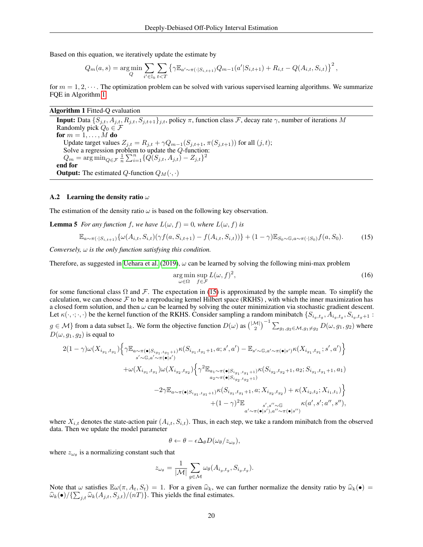Based on this equation, we iteratively update the estimate by

$$
Q_m(a,s) = \arg\min_Q \sum_{i' \in \mathbb{I}_k} \sum_{t < T} \left\{ \gamma \mathbb{E}_{a' \sim \pi(\cdot|S_{i,t+1})} Q_{m-1}(a'|S_{i,t+1}) + R_{i,t} - Q(A_{i,t},S_{i,t}) \right\}^2,
$$

for  $m = 1, 2, \dots$ . The optimization problem can be solved with various supervised learning algorithms. We summarize FQE in Algorithm [1.](#page-19-1)

## Algorithm 1 Fitted-Q evaluation

<span id="page-19-1"></span>**Input:** Data  $\{S_{j,t}, A_{j,t}, R_{j,t}, S_{j,t+1}\}_{j,t}$ , policy  $\pi$ , function class  $\mathcal F$ , decay rate  $\gamma$ , number of iterations  $M$ Randomly pick  $Q_0 \in \mathcal{F}$ for  $m = 1, \ldots, M$  do Update target values  $Z_{j,t} = R_{j,t} + \gamma Q_{m-1}(S_{j,t+1}, \pi(S_{j,t+1}))$  for all  $(j, t)$ ; Solve a regression problem to update the Q-function:  $Q_m = \arg \min_{Q \in \mathcal{F}} \frac{1}{n} \sum_{i=1}^n \{Q(S_{j,t}, A_{j,t}) - Z_{j,t}\}^2$ end for **Output:** The estimated Q-function  $Q_M(\cdot, \cdot)$ 

## <span id="page-19-0"></span>A.2 Learning the density ratio  $\omega$

The estimation of the density ratio  $\omega$  is based on the following key observation.

**Lemma 5** *For any function f, we have*  $L(\omega, f) = 0$ *, where*  $L(\omega, f)$  *is* 

$$
\mathbb{E}_{a \sim \pi(\cdot|S_{i,t+1})} \{ \omega(A_{i,t}, S_{i,t}) (\gamma f(a, S_{i,t+1}) - f(A_{i,t}, S_{i,t})) \} + (1 - \gamma) \mathbb{E}_{S_0 \sim \mathbb{G}, a \sim \pi(\cdot|S_0)} f(a, S_0). \tag{15}
$$

*Conversely,* ω *is the only function satisfying this condition.*

Therefore, as suggested in [Uehara et al.](#page-12-9) [\(2019\)](#page-12-9),  $\omega$  can be learned by solving the following mini-max problem

<span id="page-19-2"></span>
$$
\underset{\omega \in \Omega}{\arg \min} \underset{f \in \mathcal{F}}{\sup} L(\omega, f)^2,\tag{16}
$$

for some functional class  $\Omega$  and F. The expectation in [\(15\)](#page-19-2) is approximated by the sample mean. To simplify the calculation, we can choose  $\mathcal F$  to be a reproducing kernel Hilbert space (RKHS), with which the inner maximization has a closed form solution, and then  $\omega$  can be learned by solving the outer minimization via stochastic gradient descent. Let  $\kappa(\cdot,\cdot;\cdot,\cdot)$  be the kernel function of the RKHS. Consider sampling a random minibatch  $\{S_{i_g,t_g}, A_{i_g,t_g}, S_{i_g,t_g+1}$ :

 $g \in \mathcal{M}$ } from a data subset  $\mathbb{I}_k$ . We form the objective function  $D(\omega)$  as  $\left(\frac{|\mathcal{M}|}{2}\right)^{-1} \sum_{g_1, g_2 \in \mathcal{M}, g_1 \neq g_2} D(\omega, g_1, g_2)$  where  $D(\omega, g_1, g_2)$  is equal to

$$
2(1-\gamma)\omega(X_{i_{g_1},t_{g_1}})\Big\{\gamma\mathbb{E}_{a\sim\pi(\bullet|S_{i_{g_1},t_{g_1}+1})}\kappa(S_{i_{g_1},t_{g_1}+1},a;s',a')-\mathbb{E}_{s'\sim\mathbb{G},a'\sim\pi(\bullet|s')}\kappa(X_{i_{g_1},t_{g_1}};s',a')\Big\}+\omega(X_{i_{g_1},t_{g_1}})\omega(X_{i_{g_2},t_{g_2}})\Big\{\gamma^2\mathbb{E}_{a_1\sim\pi(\bullet|S_{i_{g_1},t_{g_1}+1})}\kappa(S_{i_{g_2},t_{g_2}+1},a_2;S_{i_{g_1},t_{g_1}+1},a_1)-\gamma\mathbb{E}_{a\sim\pi(\bullet|S_{i_{g_1},t_{g_1}+1})}\kappa(S_{i_{g_1},t_{g_1}+1},a;X_{i_{g_2},t_{g_2}})+\kappa(X_{i_{2},t_{2}};X_{i_{1},t_{1}})\Big\}+(1-\gamma)^2\mathbb{E}_{a'\sim\pi(\bullet|s'),a''\sim\pi(\bullet|s'),a''\sim\pi(\bullet|s')}
$$

where  $X_{i,t}$  denotes the state-action pair  $(A_{i,t}, S_{i,t})$ . Thus, in each step, we take a random minibatch from the observed data. Then we update the model parameter

$$
\theta \leftarrow \theta - \epsilon \Delta_{\theta} D(\omega_{\theta}/z_{\omega_{\theta}}),
$$

where  $z_{\omega_\theta}$  is a normalizing constant such that

$$
z_{\omega_{\theta}} = \frac{1}{|\mathcal{M}|} \sum_{g \in \mathcal{M}} \omega_{\theta}(A_{i_g, t_g}, S_{i_g, t_g}).
$$

Note that  $\omega$  satisfies  $\mathbb{E}\omega(\pi, A_t, S_t) = 1$ . For a given  $\widehat{\omega}_k$ , we can further normalize the density ratio by  $\widehat{\omega}_k(\bullet) =$  $\widehat{\omega}_k(\bullet)/\{\sum_{j,t}\widehat{\omega}_k(A_{j,t},S_{j,t})/(nT)\}\.$  This yields the final estimates.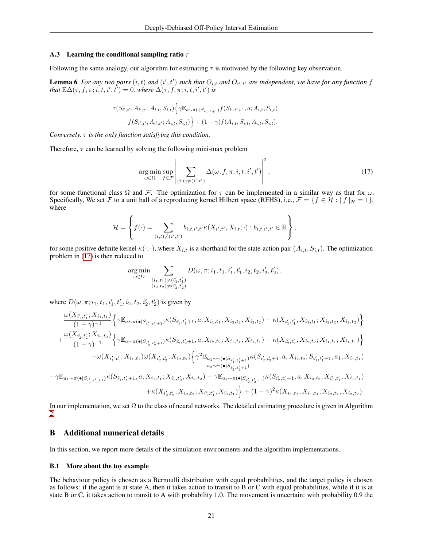### <span id="page-20-1"></span>A.3 Learning the conditional sampling ratio  $\tau$

Following the same analogy, our algorithm for estimating  $\tau$  is motivated by the following key observation.

**Lemma 6** For any two pairs  $(i, t)$  and  $(i', t')$  such that  $O_{i,t}$  and  $O_{i',t'}$  are independent, we have for any function f *that*  $\mathbb{E}\Delta(\tau, f, \pi; i, t, i', t') = 0$ , where  $\Delta(\tau, f, \pi; i, t, i', t')$  is

$$
\tau(S_{i',t'}, A_{i',t'}; A_{i,t}, S_{i,t}) \Big\{ \gamma \mathbb{E}_{a \sim \pi(\cdot | S_{i',t'+1})} f(S_{i',t'+1}, a; A_{i,t}, S_{i,t}) - f(S_{i',t'}, A_{i',t'}; A_{i,t}, S_{i,t}) \Big\} + (1 - \gamma) f(A_{i,t}, S_{i,t}, A_{i,t}, S_{i,t}).
$$

*Conversely,* τ *is the only function satisfying this condition.*

Therefore,  $\tau$  can be learned by solving the following mini-max problem

<span id="page-20-2"></span>
$$
\underset{\omega \in \Omega}{\arg \min} \sup_{f \in \mathcal{F}} \left| \sum_{(i,t) \neq (i',t')} \Delta(\omega, f, \pi; i, t, i', t') \right|^2, \tag{17}
$$

for some functional class  $\Omega$  and F. The optimization for  $\tau$  can be implemented in a similar way as that for  $\omega$ . Specifically, We set F to a unit ball of a reproducing kernel Hilbert space (RFHS), i.e.,  $\mathcal{F} = \{f \in \mathcal{H} : ||f||_{\mathcal{H}} = 1\}$ , where

$$
\mathcal{H} = \left\{ f(\cdot) = \sum_{(i,t) \neq (i',t')} b_{i,t,i',t'} \kappa(X_{i',t'}, X_{i,t}; \cdot) : b_{i,t,i',t'} \in \mathbb{R} \right\},\
$$

for some positive definite kernel  $\kappa(\cdot;\cdot)$ , where  $X_{i,t}$  is a shorthand for the state-action pair  $(A_{i,t}, S_{i,t})$ . The optimization problem in [\(17\)](#page-20-2) is then reduced to

$$
\mathop{\arg\min}\limits_{\omega \in \Omega} \sum_{\substack{(i_1,t_1) \neq (i'_1,t'_1) \\ (i_2,t_2) \neq (i'_2,t'_2)}} D(\omega,\pi;i_1,t_1,i'_1,t'_1,i_2,t_2,i'_2,t'_2),
$$

where  $D(\omega, \pi; i_1, t_1, i'_1, t'_1, i_2, t_2, i'_2, t'_2)$  is given by

$$
\frac{\omega(X_{i'_1,t'_1}, X_{i_1,t_1})}{(1-\gamma)^{-1}} \Big\{ \gamma \mathbb{E}_{a \sim \pi(\bullet|S_{i'_1,t'_1+1})} \kappa(S_{i'_1,t'_1+1}, a, X_{i_1,t_1}; X_{i_2,t_2}, X_{i_2,t_2}) - \kappa(X_{i'_1,t'_1}, X_{i_1,t_1}; X_{i_2,t_2}, X_{i_2,t_2}) \Big\} + \frac{\omega(X_{i'_2,t'_2}, X_{i_2,t_2})}{(1-\gamma)^{-1}} \Big\{ \gamma \mathbb{E}_{a \sim \pi(\bullet|S_{i'_2,t'_2+1})} \kappa(S_{i'_2,t'_2+1}, a, X_{i_2,t_2}; X_{i_1,t_1}, X_{i_1,t_1}) - \kappa(X_{i'_2,t'_2}, X_{i_2,t_2}; X_{i_1,t_1}, X_{i_1,t_1}) \Big\} + \omega(X_{i'_1,t'_1}; X_{i_1,t_1}) \omega(X_{i'_2,t'_2}; X_{i_2,t_2}) \Big\{ \gamma^2 \mathbb{E}_{a_1 \sim \pi(\bullet|S_{i'_1,t'_1+1})} \kappa(S_{i'_2,t'_2+1}, a, X_{i_2,t_2}; S_{i'_1,t'_1+1}, a_1, X_{i_1,t_1}) \Big\} - \gamma \mathbb{E}_{a_1 \sim \pi(\bullet|S_{i'_1,t'_1+1})} \kappa(S_{i'_1,t'_1+1}, a, X_{i_1,t_1}; X_{i'_2,t'_2}, X_{i_2,t_2}) - \gamma \mathbb{E}_{a_2 \sim \pi(\bullet|S_{i'_2,t'_2+1})} \kappa(S_{i'_2,t'_2+1}, a, X_{i_2,t_2}; X_{i'_1,t'_1}, X_{i_1,t_1}) + \kappa(X_{i'_2,t'_2}, X_{i_2,t_2}; X_{i'_1,t'_1}, X_{i_1,t_1}) \Big\} + (1 - \gamma)^2 \kappa(X_{i_1,t_1}, X_{i_1,t_1}; X_{i_2,t_2}, X_{i_2,t_2}).
$$

In our implementation, we set  $\Omega$  to the class of neural networks. The detailed estimating procedure is given in Algorithm [2.](#page-21-0)

# <span id="page-20-0"></span>B Additional numerical details

In this section, we report more details of the simulation environments and the algorithm implementations.

## B.1 More about the toy example

The behaviour policy is chosen as a Bernoulli distribution with equal probabilities, and the target policy is chosen as follows: if the agent is at state A, then it takes action to transit to B or C with equal probabilities, while if it is at state B or C, it takes action to transit to A with probability 1.0. The movement is uncertain: with probability 0.9 the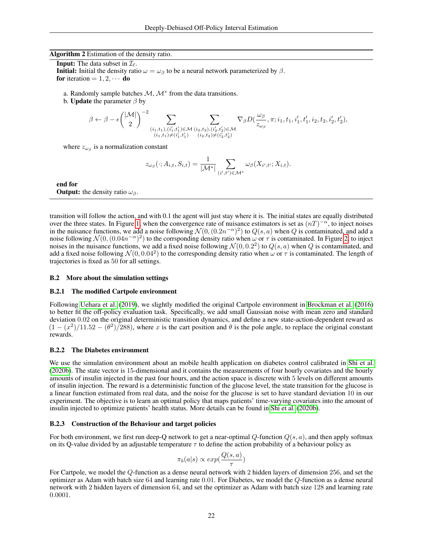Algorithm 2 Estimation of the density ratio.

<span id="page-21-0"></span>**Input:** The data subset in  $\mathcal{I}_{\ell}$ . **Initial:** Initial the density ratio  $\omega = \omega_\beta$  to be a neural network parameterized by  $\beta$ . for iteration  $= 1, 2, \cdots$  do

- a. Randomly sample batches  $\mathcal{M}, \mathcal{M}^*$  from the data transitions.
- b. **Update** the parameter  $\beta$  by

$$
\beta \leftarrow \beta - \epsilon \binom{|\mathcal{M}|}{2}^{-2} \sum_{\substack{(i_1,t_1),(i'_1,t'_1) \in \mathcal{M} \\ (i_1,t_1) \neq (i'_1,t'_1) }}\sum_{\substack{(i_2,t_2),(i'_2,t'_2) \in \mathcal{M} \\ (i_2,t_2) \neq (i'_2,t'_2)}} \nabla_\beta D(\frac{\omega_\beta}{z_{\omega_\beta}},\pi; i_1,t_1,i'_1,t'_1,i_2,t_2,i'_2,t'_2),
$$

where  $z_{\omega_{\beta}}$  is a normalization constant

$$
z_{\omega_{\beta}}(\cdot; A_{i,t}, S_{i,t}) = \frac{1}{|\mathcal{M}^*|} \sum_{(i',t') \in \mathcal{M}^*} \omega_{\beta}(X_{i',t'}; X_{i,t}).
$$

end for **Output:** the density ratio  $\omega_{\beta}$ .

transition will follow the action, and with 0.1 the agent will just stay where it is. The initial states are equally distributed over the three states. In Figure [1,](#page-3-0) when the convergence rate of nuisance estimators is set as  $(nT)^{-\alpha}$ , to inject noises in the nuisance functions, we add a noise following  $\mathcal{N}(0, (0.2n^{-\alpha})^2)$  to  $Q(s, a)$  when Q is contaminated, and add a noise following  $\mathcal{N}(0, (0.04n^{-\alpha})^2)$  to the corrsponding density ratio when  $\omega$  or  $\tau$  is contaminated. In Figure [2,](#page-5-0) to inject noises in the nuisance functions, we add a fixed noise following  $\mathcal{N}(0, 0.2^2)$  to  $Q(s, a)$  when Q is contaminated, and add a fixed noise following  $\mathcal{N}(0, 0.04^2)$  to the corresponding density ratio when  $\omega$  or  $\tau$  is contaminated. The length of trajectories is fixed as 50 for all settings.

#### B.2 More about the simulation settings

## B.2.1 The modified Cartpole environment

Following [Uehara et al.](#page-12-9) [\(2019\)](#page-12-9), we slightly modified the original Cartpole environment in [Brockman et al.](#page-10-8) [\(2016\)](#page-10-8) to better fit the off-policy evaluation task. Specifically, we add small Gaussian noise with mean zero and standard deviation 0.02 on the original deterministic transition dynamics, and define a new state-action-dependent reward as  $(1 - (x^2)/11.52 - (\theta^2)/288)$ , where x is the cart position and  $\theta$  is the pole angle, to replace the original constant rewards.

### B.2.2 The Diabetes environment

We use the simulation environment about an mobile health application on diabetes control calibrated in [Shi et al.](#page-12-3) [\(2020b\)](#page-12-3). The state vector is 15-dimensional and it contains the measurements of four hourly covariates and the hourly amounts of insulin injected in the past four hours, and the action space is discrete with 5 levels on different amounts of insulin injection. The reward is a deterministic function of the glucose level, the state transition for the glucose is a linear function estimated from real data, and the noise for the glucose is set to have standard deviation 10 in our experiment. The objective is to learn an optimal policy that maps patients' time-varying covariates into the amount of insulin injected to optimize patients' health status. More details can be found in [Shi et al.](#page-12-3) [\(2020b\)](#page-12-3).

#### B.2.3 Construction of the Behaviour and target policies

For both environment, we first run deep-Q network to get a near-optimal Q-function  $Q(s, a)$ , and then apply softmax on its Q-value divided by an adjustable temperature  $\tau$  to define the action probability of a behaviour policy as

$$
\pi_b(a|s) \propto exp(\frac{Q(s,a)}{\tau})
$$

For Cartpole, we model the Q-function as a dense neural network with 2 hidden layers of dimension 256, and set the optimizer as Adam with batch size 64 and learning rate 0.01. For Diabetes, we model the Q-function as a dense neural network with 2 hidden layers of dimension 64, and set the optimizer as Adam with batch size 128 and learning rate 0.0001.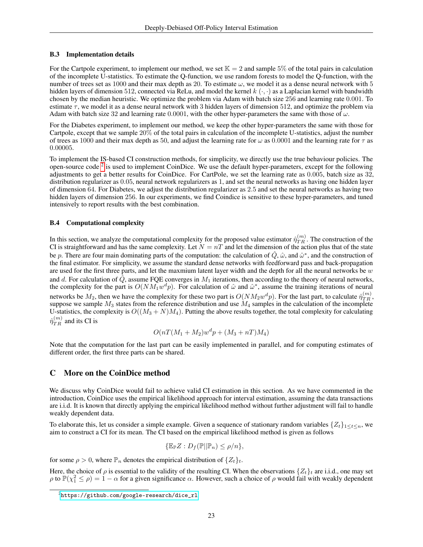## B.3 Implementation details

For the Cartpole experiment, to implement our method, we set  $K = 2$  and sample 5% of the total pairs in calculation of the incomplete U-statistics. To estimate the Q-function, we use random forests to model the Q-function, with the number of trees set as 1000 and their max depth as 20. To estimate  $\omega$ , we model it as a dense neural network with 5 hidden layers of dimension 512, connected via ReLu, and model the kernel  $k(\cdot, \cdot)$  as a Laplacian kernel with bandwidth chosen by the median heuristic. We optimize the problem via Adam with batch size 256 and learning rate 0.001. To estimate  $\tau$ , we model it as a dense neural network with 3 hidden layers of dimension 512, and optimize the problem via Adam with batch size 32 and learning rate 0.0001, with the other hyper-parameters the same with those of  $\omega$ .

For the Diabetes experiment, to implement our method, we keep the other hyper-parameters the same with those for Cartpole, except that we sample 20% of the total pairs in calculation of the incomplete U-statistics, adjust the number of trees as 1000 and their max depth as 50, and adjust the learning rate for  $\omega$  as 0.0001 and the learning rate for  $\tau$  as 0.00005.

To implement the IS-based CI construction methods, for simplicity, we directly use the true behaviour policies. The open-source code  $2$  is used to implement CoinDice. We use the default hyper-parameters, except for the following adjustments to get a better results for CoinDice. For CartPole, we set the learning rate as 0.005, batch size as 32, distribution regularizer as 0.05, neural network regularizers as 1, and set the neural networks as having one hidden layer of dimension 64. For Diabetes, we adjust the distribution regularizer as 2.5 and set the neural networks as having two hidden layers of dimension 256. In our experiments, we find Coindice is sensitive to these hyper-parameters, and tuned intensively to report results with the best combination.

# <span id="page-22-1"></span>B.4 Computational complexity

In this section, we analyze the computational complexity for the proposed value estimator  $\hat{\eta}_{TR}^{(m)}$ . The construction of the CI is straightforward and has the same complexity. Let  $N = nT$  and let the dimension of the action plus that of the state be p. There are four main dominating parts of the computation: the calculation of  $\hat{Q}$ ,  $\hat{\omega}$ , and  $\hat{\omega}^*$ , and the construction of the final estimator. For simplicity, we assume the standard dense networks with feedforward pass and back-propagation are used for the first three parts, and let the maxmium latent layer width and the depth for all the neural networks be  $w$ and d. For calculation of  $Q$ , assume FQE converges in  $M_1$  iterations, then according to the theory of neural networks, the complexity for the part is  $O(NM_1w^dp)$ . For calculation of  $\hat{\omega}$  and  $\hat{\omega}^*$ , assume the training iterations of neural networks be  $M_2$ , then we have the complexity for these two part is  $O(NM_2w^dp)$ . For the last part, to calculate  $\hat{\eta}_{TR}^{(m)}$ , suppose we sample  $M_3$  states from the reference distribution and use  $M_4$  samples in the calculation of the incomplete U-statistics, the complexity is  $O((M_3 + N)M_4)$ . Putting the above results together, the total complexity for calculating  $\hat{\eta}_{TR}^{(m)}$  and its CI is

$$
O(nT(M_1+M_2)w^dp + (M_3+nT)M_4)
$$

Note that the computation for the last part can be easily implemented in parallel, and for computing estimates of different order, the first three parts can be shared.

# <span id="page-22-0"></span>C More on the CoinDice method

We discuss why CoinDice would fail to achieve valid CI estimation in this section. As we have commented in the introduction, CoinDice uses the empirical likelihood approach for interval estimation, assuming the data transactions are i.i.d. It is known that directly applying the empirical likelihood method without further adjustment will fail to handle weakly dependent data.

To elaborate this, let us consider a simple example. Given a sequence of stationary random variables  $\{Z_t\}_{1\leq t\leq n}$ , we aim to construct a CI for its mean. The CI based on the empirical likelihood method is given as follows

$$
\{\mathbb{E}_{\mathbb{P}}Z: D_f(\mathbb{P}||\mathbb{P}_n)\leq \rho/n\},\
$$

for some  $\rho > 0$ , where  $\mathbb{P}_n$  denotes the empirical distribution of  $\{Z_t\}_t$ .

Here, the choice of  $\rho$  is essential to the validity of the resulting CI. When the observations  $\{Z_t\}_t$  are i.i.d., one may set  $\rho$  to  $\mathbb{P}(\chi^2 \le \rho) = 1 - \alpha$  for a given significance  $\alpha$ . However, such a choice of  $\rho$  would fail with weakly dependent

<span id="page-22-2"></span> $^{2}$ [https://github.com/google-research/dice\\_rl](https://github.com/google-research/dice_rl)